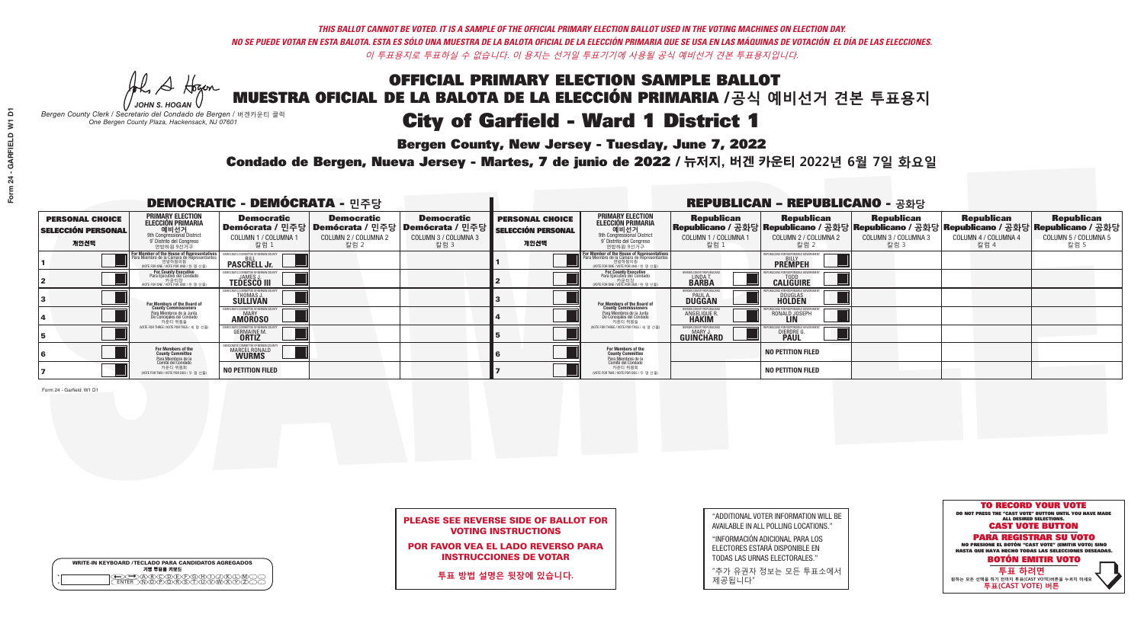# OFFICIAL PRIMARY ELECTION SAMPLE BALLOT MUESTRA OFICIAL DE LA BALOTA DE LA ELECCIÓN PRIMARIA /**공식 예비선거 견본 투표용지** City of Garfield - Ward 1 District 1

**Bergen County, New Jersey - Tuesday, June 7, 2022** 

A Hogan *JOHN S. HOGAN*

|         | <b>WRITE-IN KEYBOARD /TECLADO PARA CANDIDATOS AGREGADOS</b><br>기명 투표용 키보드 |
|---------|---------------------------------------------------------------------------|
| $\circ$ |                                                                           |

*Bergen County Clerk / Secretario del Condado de Bergen /* 버겐카운티 클럭 *One Bergen County Plaza, Hackensack, NJ 07601*



### PLEASE SEE REVERSE SIDE OF BALLOT FOR VOTING INSTRUCTIONS

POR FAVOR VEA EL LADO REVERSO PARA INSTRUCCIONES DE VOTAR

**투표 방법 설명은 뒷장에 있습니다.**

| "ADDITIONAL VOTER INFORMATION WILL BE |
|---------------------------------------|
| AVAILABLE IN ALL POLLING LOCATIONS."  |
|                                       |

"INFORMACIÓN ADICIONAL PARA LOS ELECTORES ESTARÁ DISPONIBLE EN TODAS LAS URNAS ELECTORALES."

"추가 유권자 정보는 모든 투표소에서 제공됩니다"

Condado de Bergen, Nueva Jersey - Martes, 7 de junio de 2022 / 뉴저지, 버겐 카운티 2022년 6월 7일 화요일 *One Bergen County Plaza, Hackensack, NJ 07601*

| <b>DEMOCRATIC - DEMÓCRATA - 민주당</b>                         |                                                                                                                                                  |                                                                                                                                                 |                                                   |                                                                                                              | <b>REPUBLICAN - REPUBLICANO - 공화당</b>                       |                                                                                                                                                  |                                                                      |                                                                                                                                                   |                                                   |                                                   |                                                   |  |
|-------------------------------------------------------------|--------------------------------------------------------------------------------------------------------------------------------------------------|-------------------------------------------------------------------------------------------------------------------------------------------------|---------------------------------------------------|--------------------------------------------------------------------------------------------------------------|-------------------------------------------------------------|--------------------------------------------------------------------------------------------------------------------------------------------------|----------------------------------------------------------------------|---------------------------------------------------------------------------------------------------------------------------------------------------|---------------------------------------------------|---------------------------------------------------|---------------------------------------------------|--|
| <b>PERSONAL CHOICE</b><br><b>SELECCIÓN PERSONAL</b><br>개인선택 | <b>PRIMARY ELECTION</b><br>ELECCIÓN PRIMARIA<br>예비선거<br><sup>9th</sup> Congressional District<br>9° Distrito del Congreso<br>연방하원 9선거구           | <b>Democratic</b><br>COLUMN 1 / COLUMNA<br>칼럼 1                                                                                                 | <b>Democratic</b><br>COLUMN 2 / COLUMNA 2<br>칼럼 2 | <b>Democratic</b><br>  Demócrata / 민주당   Demócrata / 민주당   Demócrata / 민주당  <br>COLUMN 3 / COLUMNA 3<br>칼럼 3 | <b>PERSONAL CHOICE</b><br><b>SELECCIÓN PERSONAL</b><br>개인선택 | <b>PRIMARY ELECTION</b><br>ELECCIÓN PRIMARIA<br>9th Congressional District<br>9° Distrito del Congreso<br>연방하원 9선거구                              | <b>Republican</b><br>COLUMN 1 / COLUMNA 1<br>칼럼 1                    | <b>Republican</b><br> Republicano / 공화당 Republicano / 공화당 Republicano / 공화당 Republicano / 공화당 Republicano / 공화당 <br>COLUMN 2 / COLUMNA 2<br>-칼럼 2 | <b>Republican</b><br>COLUMN 3 / COLUMNA 3<br>칼럼 3 | <b>Republican</b><br>COLUMN 4 / COLUMNA 4<br>칼럼 4 | <b>Republican</b><br>COLUMN 5 / COLUMNA 5<br>칼럼 5 |  |
|                                                             | F <mark>or Member of the House of Representatives</mark><br>Para Miembro de la Cámara de Representantes<br>WOTE FOR ONE / VOTE POR UNO / 한 명 선출) | COMMITTEE OF BERGEN COU<br><b>PASCRELL Jr.</b>                                                                                                  |                                                   |                                                                                                              |                                                             | F <mark>or Member of the House of Representatives</mark><br>Para Miembro de la Cámara de Representantes<br>NOTE FOR ONE / VOTE POR UNO / 한 명 선출) |                                                                      | FPUBLICANS FOR RESPONSIBLE GOVERNMEN<br><b>PREMPEH</b>                                                                                            |                                                   |                                                   |                                                   |  |
|                                                             | For County Executive<br>Para Ejecutivo del Condado<br>vOTE FOR ONE / VOTE POR UNO / 한 명 선출)                                                      | JAMES,<br><b>TEDESCO III</b>                                                                                                                    |                                                   |                                                                                                              |                                                             | For County Executive<br>Para Ejecutivo del Condado<br>) 카운티장<br>(VOTE FOR ONE / VOTE POR UNO / 한 명 선출)                                           | ERGEN COUNTY REPUBLICA<br>LINDA T<br><b>BARBA</b>                    | <b>CALIGUIRE</b>                                                                                                                                  |                                                   |                                                   |                                                   |  |
|                                                             | For Members of the Board of<br>County Commissioners                                                                                              | <b>THOMAS J.</b><br><b>SULLIVAN</b>                                                                                                             |                                                   |                                                                                                              |                                                             | <b>For Members of the Board of County Commissioners</b>                                                                                          | BERGEN COUNTY REPUBLICAN<br><b>PAUL A.</b><br><b>DUGGAN</b>          | <b>DOUGLAS</b>                                                                                                                                    |                                                   |                                                   |                                                   |  |
|                                                             | Para Miembros de la Junta<br>De Concejales del Condado<br>카운티 위원들                                                                                | IC COMMITTEE OF RERGEN COLL<br><b>MARY</b><br><b>AMOROSO</b>                                                                                    |                                                   |                                                                                                              |                                                             | Para Miembros de la Junta<br>De Concejales del Condado<br>카운티 위원들                                                                                | <b>FRGEN COUNTY REPUBLICAN</b><br><b>ANGELIQUE R</b><br><b>HAKIM</b> | RONALD JOSEPH<br><b>LIN</b>                                                                                                                       |                                                   |                                                   |                                                   |  |
|                                                             | (VOTE FOR THREE / VOTE POR TRES / 세 명 선출)                                                                                                        | <b>GERMAINE M.</b><br><b>ORTIZ</b>                                                                                                              |                                                   |                                                                                                              |                                                             | (VOTE FOR THREE / VOTE POR TRES / 세 명 선출)                                                                                                        | BERGEN COUNTY REPUBLICANS<br>MARY J.<br>GUINCHARD                    | <b>DIERDRE</b>                                                                                                                                    |                                                   |                                                   |                                                   |  |
|                                                             | For Members of the<br>County Committee<br>Para Miembros de la<br>Comité del Condado                                                              | DEMOCRATIC COMMITTEE OF BERGEN COLTAINMENT COMMITTEE OF BERGEN COLTAINMENT COMMITTEE OF BERGEN COLTAINMENT COM<br>MARCEL RONALD<br><b>WURMS</b> |                                                   |                                                                                                              |                                                             | For Members of the<br>County Committee<br>Para Miembros de la<br>Comité del Condado                                                              |                                                                      | <b>NO PETITION FILED</b>                                                                                                                          |                                                   |                                                   |                                                   |  |
|                                                             | 카운티 위원회<br>(VOTE FOR TWO / VOTE POR DOS / 두 명 선출)                                                                                                | <b>NO PETITION FILED</b>                                                                                                                        |                                                   |                                                                                                              |                                                             | 카운티 위원회<br>NOTE FOR TWO / VOTE POR DOS / 두 명 선출)                                                                                                 |                                                                      | <b>NO PETITION FILED</b>                                                                                                                          |                                                   |                                                   |                                                   |  |

Form 24 - Garfield W1 D1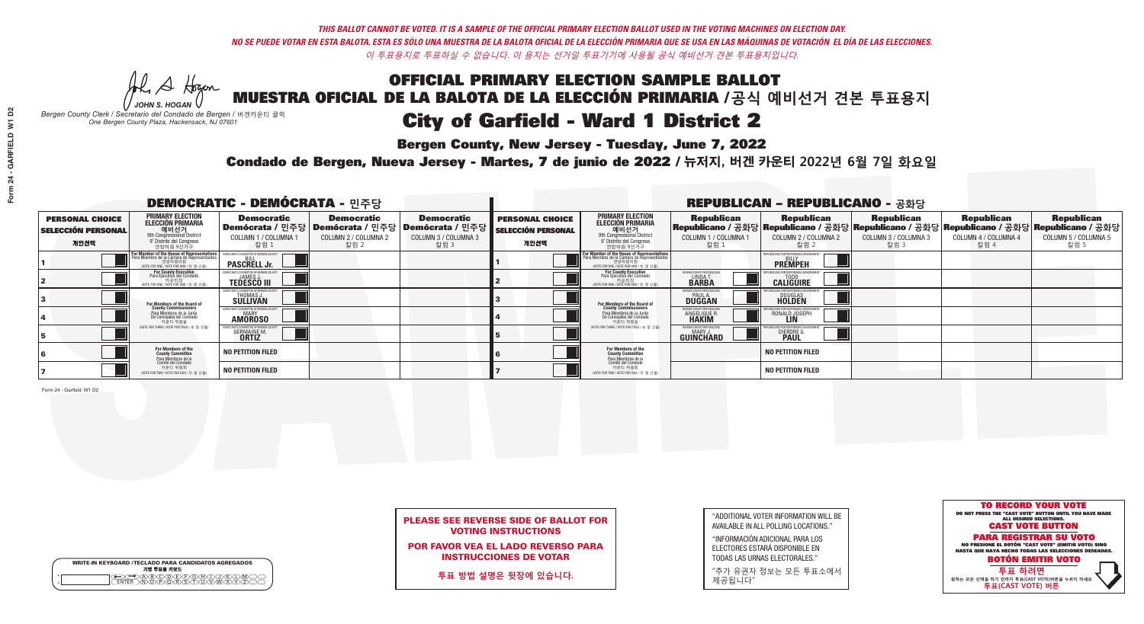## OFFICIAL PRIMARY ELECTION SAMPLE BALLOT MUESTRA OFICIAL DE LA BALOTA DE LA ELECCIÓN PRIMARIA /**공식 예비선거 견본 투표용지** City of Garfield - Ward 1 District 2

**Bergen County, New Jersey - Tuesday, June 7, 2022** 

A Hogan *JOHN S. HOGAN*

|         | <b>WRITE-IN KEYBOARD /TECLADO PARA CANDIDATOS AGREGADOS</b><br>기명 투표용 키보드 |
|---------|---------------------------------------------------------------------------|
| $\circ$ |                                                                           |

*Bergen County Clerk / Secretario del Condado de Bergen /* 버겐카운티 클럭 *One Bergen County Plaza, Hackensack, NJ 07601*



### PLEASE SEE REVERSE SIDE OF BALLOT FOR VOTING INSTRUCTIONS

POR FAVOR VEA EL LADO REVERSO PARA INSTRUCCIONES DE VOTAR

**투표 방법 설명은 뒷장에 있습니다.**

| "ADDITIONAL VOTER INFORMATION WILL BE |
|---------------------------------------|
| AVAILABLE IN ALL POLLING LOCATIONS."  |
|                                       |

"INFORMACIÓN ADICIONAL PARA LOS ELECTORES ESTARÁ DISPONIBLE EN TODAS LAS URNAS ELECTORALES."

"추가 유권자 정보는 모든 투표소에서 제공됩니다"

Condado de Bergen, Nueva Jersey - Martes, 7 de junio de 2022 / 뉴저지, 버겐 카운티 2022년 6월 7일 화요일 *One Bergen County Plaza, Hackensack, NJ 07601*

| <b>DEMOCRATIC - DEMÓCRATA - 민주당</b>                         |                                                                                                                            |                                                                   |                                                   |                                                                                                              | <b>REPUBLICAN - REPUBLICANO - 공화당</b>                       |                                                                                                                                                  |                                                            |                                                                                                                                                |                                                   |                                                   |                                                   |  |
|-------------------------------------------------------------|----------------------------------------------------------------------------------------------------------------------------|-------------------------------------------------------------------|---------------------------------------------------|--------------------------------------------------------------------------------------------------------------|-------------------------------------------------------------|--------------------------------------------------------------------------------------------------------------------------------------------------|------------------------------------------------------------|------------------------------------------------------------------------------------------------------------------------------------------------|---------------------------------------------------|---------------------------------------------------|---------------------------------------------------|--|
| <b>PERSONAL CHOICE</b><br><b>SELECCIÓN PERSONAL</b><br>개인선택 | <b>PRIMARY ELECTION</b><br>ELECCIÓN PRIMARIA<br>에비선거<br><sup>애비선거</sup><br><sup>9</sup> Distrite del Congreso<br>연방하원 9선거구 | <b>Democratic</b><br>COLUMN 1 / COLUMNA<br>칼럼 1                   | <b>Democratic</b><br>COLUMN 2 / COLUMNA 2<br>칼럼 2 | <b>Democratic</b><br>  Demócrata / 민주당   Demócrata / 민주당   Demócrata / 민주당  <br>COLUMN 3 / COLUMNA 3<br>칼럼 3 | <b>PERSONAL CHOICE</b><br><b>SELECCIÓN PERSONAL</b><br>개인선택 | <b>PRIMARY ELECTION</b><br>ELECCIÓN PRIMARIA<br>애비선거<br><sup>애</sup> Congressional District<br>º Distrito del Congreso<br>연방하원 9선거구              | <b>Republican</b><br>COLUMN 1 / COLUMNA 1<br>"칼럼 1         | <b>Republican</b><br>Republicano / 공화당 Republicano / 공화당 Republicano / 공화당 Republicano / 공화당 Republicano / 공화당<br>COLUMN 2 / COLUMNA 2<br>칼럼 2 | <b>Republican</b><br>COLUMN 3 / COLUMNA 3<br>칼럼 3 | <b>Republican</b><br>COLUMN 4 / COLUMNA 4<br>칼럼 4 | <b>Republican</b><br>COLUMN 5 / COLUMNA 5<br>칼럼 5 |  |
|                                                             | <b>For Member of the House of Representatives</b><br>Para Miembro de la Cámara de Representantes                           | COMMITTEE OF BERGEN C<br><b>PASCRELL Jr.</b>                      |                                                   |                                                                                                              |                                                             | F <mark>or Member of the House of Representatives</mark><br>Para Miembro de la Cámara de Representantes<br>NOTE FOR ONE / VOTE POR UNO / 한 명 선출) |                                                            | <b>FPUBLICANS FOR RESPONSIBLE GOVERNMEN</b><br><b>PREMPEH</b>                                                                                  |                                                   |                                                   |                                                   |  |
|                                                             | For County Executive<br>Para Ejecutivo del Condado<br>가운티장<br>VOTE FOR ONE / VOTE POR UNO / 한 명 선출)                        | )FMOCRATIC COMMITTEE OF BERGEN (<br>JAMES J<br><b>TEDESCO III</b> |                                                   |                                                                                                              |                                                             | For County Executive<br>Para Ejecutivo del Condado<br>가운티장<br>(VOTE FOR ONE / VOTE POR UNO / 한 명 선출)                                             | ERGEN COUNTY REPUBLICA<br><b>LINDAT</b><br><b>BARBA</b>    | <b>CALIGUIRE</b>                                                                                                                               |                                                   |                                                   |                                                   |  |
|                                                             | For Members of the Board of<br>County Commissioners                                                                        | <b>THOMAS J.</b><br><b>SULLIVAN</b>                               |                                                   |                                                                                                              |                                                             | <b>For Members of the Board of County Commissioners</b>                                                                                          | ERGEN COUNTY REPUBLICAN<br><b>PAUL A.</b><br><b>DUGGAN</b> | <b>DOUGLAS</b>                                                                                                                                 |                                                   |                                                   |                                                   |  |
|                                                             | Para Miembros de la Junta<br>De Concejales del Condado<br>카운티 위원들                                                          | (IC COMMITTEE OF BERGEN COUN<br><b>AMOROSO</b>                    |                                                   |                                                                                                              |                                                             | Para Miembros de la Junta<br>De Concejales del Condado<br>카운티 위원들                                                                                | ERGEN COUNTY REPUBLICAN<br><b>ANGELIQUE F</b>              | RONALD JOSEPH                                                                                                                                  |                                                   |                                                   |                                                   |  |
|                                                             | (VOTE FOR THREE / VOTE POR TRES / 세 명 선출)                                                                                  | <b>GERMAINE M.</b><br><b>ORTIZ</b>                                |                                                   |                                                                                                              |                                                             | (VOTE FOR THREE / VOTE POR TRES / 세 명 선출)                                                                                                        | ERGEN COUNTY REPUBLICAN<br>MARY J<br><b>GUINCHARD</b>      | <b>DIERDRE G</b><br><b>PAUL</b>                                                                                                                |                                                   |                                                   |                                                   |  |
|                                                             | For Members of the<br>County Committee<br>Para Miembros de la<br>Comité del Condado                                        | NO PETITION FILED                                                 |                                                   |                                                                                                              |                                                             | For Members of the<br>County Committee                                                                                                           |                                                            | <b>NO PETITION FILED</b>                                                                                                                       |                                                   |                                                   |                                                   |  |
|                                                             | 카운티 위원회<br>NOTE FOR TWO / VOTE POR DOS / 두 명 선출)                                                                           | <b>NO PETITION FILED</b>                                          |                                                   |                                                                                                              |                                                             | Para Miembros de la<br>Comité del Condado<br>카운티 위원회<br>(VOTE FOR TWO / VOTE POR DOS / 두 명 선출)                                                   |                                                            | <b>NO PETITION FILED</b>                                                                                                                       |                                                   |                                                   |                                                   |  |

Form 24 - Garfield W1 D2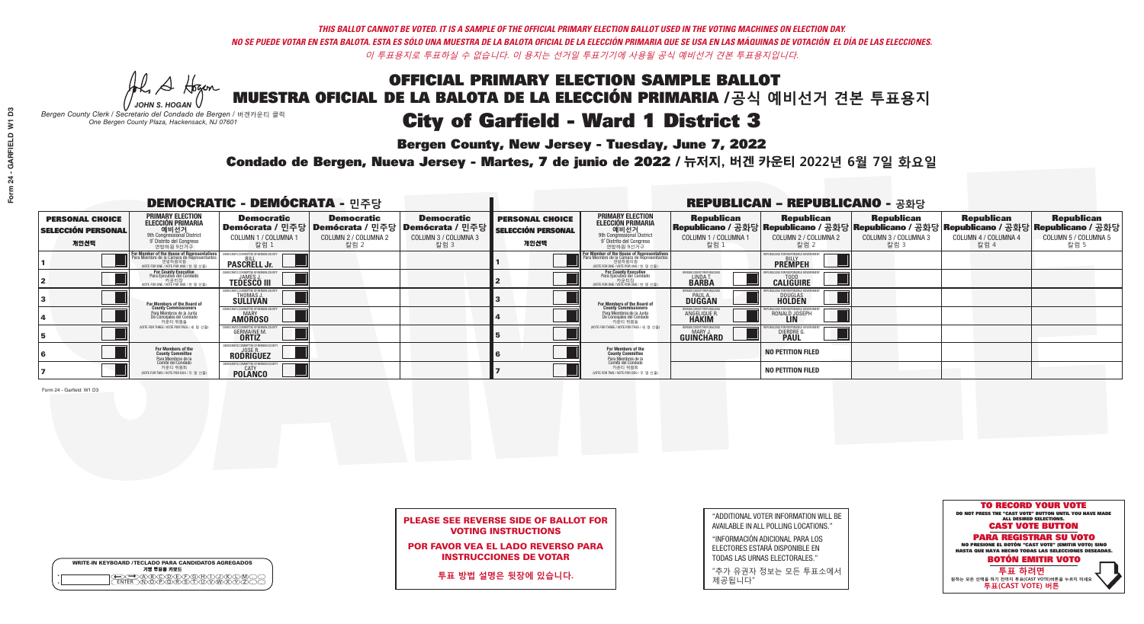## OFFICIAL PRIMARY ELECTION SAMPLE BALLOT MUESTRA OFICIAL DE LA BALOTA DE LA ELECCIÓN PRIMARIA /**공식 예비선거 견본 투표용지** City of Garfield - Ward 1 District 3

**Bergen County, New Jersey - Tuesday, June 7, 2022** 

A Hogan *JOHN S. HOGAN*

| <b>WRITE-IN KEYBOARD /TECLADO PARA CANDIDATOS AGREGADOS</b><br>기명 투표용 키보드 |
|---------------------------------------------------------------------------|
| (B)C)D(E)(F)(G)(H)(T)<br><u>ነቅለጀለጅ አ</u> ገ                                |

*Bergen County Clerk / Secretario del Condado de Bergen /* 버겐카운티 클럭 *One Bergen County Plaza, Hackensack, NJ 07601*



### PLEASE SEE REVERSE SIDE OF BALLOT FOR VOTING INSTRUCTIONS

POR FAVOR VEA EL LADO REVERSO PARA INSTRUCCIONES DE VOTAR

**투표 방법 설명은 뒷장에 있습니다.**

| "ADDITIONAL VOTER INFORMATION WILL BE |
|---------------------------------------|
| AVAILABLE IN ALL POLLING LOCATIONS."  |
|                                       |

"INFORMACIÓN ADICIONAL PARA LOS ELECTORES ESTARÁ DISPONIBLE EN TODAS LAS URNAS ELECTORALES."

"추가 유권자 정보는 모든 투표소에서 제공됩니다"

Condado de Bergen, Nueva Jersey - Martes, 7 de junio de 2022 / 뉴저지, 버겐 카운티 2022년 6월 7일 화요일 *One Bergen County Plaza, Hackensack, NJ 07601*

| DEMOCRATIC - DEMÓCRATA - 민주당                                |                                                                                                                                                   |                                                                 |                                                   |                                                                                                          | <b>REPUBLICAN - REPUBLICANO - 공화당</b>                       |                                                                                                                                               |                                                                     |                                                                                                                                                    |                                                   |                                                   |                                                   |
|-------------------------------------------------------------|---------------------------------------------------------------------------------------------------------------------------------------------------|-----------------------------------------------------------------|---------------------------------------------------|----------------------------------------------------------------------------------------------------------|-------------------------------------------------------------|-----------------------------------------------------------------------------------------------------------------------------------------------|---------------------------------------------------------------------|----------------------------------------------------------------------------------------------------------------------------------------------------|---------------------------------------------------|---------------------------------------------------|---------------------------------------------------|
| <b>PERSONAL CHOICE</b><br><b>SELECCIÓN PERSONAL</b><br>개인선택 | <b>PRIMARY ELECTION</b><br>ELECCIÓN PRIMARIA<br>에비선거<br><sup>9th</sup> Congressional District<br><sup>9'</sup> Distrito del Congreso<br>연방하원 9선거구 | <b>Democratic</b><br>COLUMN 1 / COLUMNA<br>칼럼 1                 | <b>Democratic</b><br>COLUMN 2 / COLUMNA 2<br>칼럼 2 | <b>Democratic</b><br>Demócrata / 민주당   Demócrata / 민주당   Demócrata / 민주당<br>COLUMN 3 / COLUMNA 3<br>칼럼 3 | <b>PERSONAL CHOICE</b><br><b>SELECCIÓN PERSONAL</b><br>개인선택 | <b>PRIMARY ELECTION</b><br>ELECCIÓN PRIMARIA<br>애비선거<br><sup>9th</sup> Congressional District<br>º Distrito del Congreso<br>연방하원 9선거구         | <b>Republican</b><br>COLUMN 1 / COLUMNA 1<br>'칼럼 ∶                  | <b>Republican</b><br> Republicano / 공화당 Republicano / 공화당 Republicano / 공화당 Republicano / 공화당 Republicano / 공화당 <br>COLUMN 2 / COLUMNA 2<br>- 칼럼 2 | <b>Republican</b><br>COLUMN 3 / COLUMNA 3<br>칼럼 3 | <b>Republican</b><br>COLUMN 4 / COLUMNA 4<br>칼럼 4 | <b>Republican</b><br>COLUMN 5 / COLUMNA 5<br>칼럼 5 |
|                                                             | For Member of the House of Representatives<br>Para Miembro de la Cámara de Representantes<br>연방하원의원<br>(VOTE FOR ONE / VOTE POR UNO / 한 명 선출)     | <b>PASCRELL Jr.</b>                                             |                                                   |                                                                                                          |                                                             | For Member of the House of Representatives<br>Para Miembro de la Cámara de Representantes<br>연방하원의원<br>(VOTE FOR ONE / VOTE POR UNO / 한 명 선출) |                                                                     | <b>PREMPEH</b>                                                                                                                                     |                                                   |                                                   |                                                   |
|                                                             | For County Executive<br>Para Ejecutivo del Condado<br>가운티장<br>(VOTE FOR ONE / VOTE POR UNO / 한 명 선출)                                              | JEMOCRATIC COMMITTEE OF BERGEN<br><b>TEDESCO III</b>            |                                                   |                                                                                                          |                                                             | <b>For County Executive</b><br>Para Ejecutivo del Condado<br>7 카운티장<br>(VOTE FOR ONE / VOTE POR UNO / 한 명 선출)                                 | BERGEN COUNTY REPUBLIC<br>LINDAT.                                   | <b>CALIGUIRE</b>                                                                                                                                   |                                                   |                                                   |                                                   |
|                                                             | <b>For Members of the Board of<br/>County Commissioners</b>                                                                                       | <b>THOMAS J.</b><br><b>SULLIVAN</b>                             |                                                   |                                                                                                          |                                                             | <b>For Members of the Board of</b><br>County Commissioners                                                                                    | ERGEN COUNTY REPUBLICA<br><b>DUGGAN</b>                             | <b>DOUGLAS</b>                                                                                                                                     |                                                   |                                                   |                                                   |
|                                                             | Para Miembros de la Junta<br>De Concejales del Condado<br>카운티 위원들                                                                                 | RATIC COMMITTEE OF BERGEN COUN<br><b>MARY</b><br><b>AMOROSO</b> |                                                   |                                                                                                          |                                                             | Para Miembros de la Junta<br>De Concejales del Condado<br>카운티 위원들                                                                             | <b>ERGEN COUNTY REPUBLICAN</b><br><b>ANGELIQUE R</b>                | RONALD JOSEPH                                                                                                                                      |                                                   |                                                   |                                                   |
|                                                             | (VOTE FOR THREE / VOTE POR TRES / 세 명 선출)                                                                                                         | <b>GERMAINE M.</b><br><b>ORTIZ</b>                              |                                                   |                                                                                                          |                                                             | (VOTE FOR THREE / VOTE POR TRES / 세 명 선출)                                                                                                     | <b>ERGEN COUNTY REPUBLICAN</b><br><b>MARY J</b><br><b>GUINCHARD</b> | <b>DIERDRE</b>                                                                                                                                     |                                                   |                                                   |                                                   |
|                                                             | For Members of the<br>County Committee<br>Para Miembros de la<br>Comité del Condado                                                               | DEMOCRATIC COMMITTEE OF BERGEN CO.<br>JOSE R.<br>RODRIGUEZ      |                                                   |                                                                                                          |                                                             | For Members of the<br>County Committee<br>Para Miembros de la<br>Comité del Condado                                                           |                                                                     | <b>NO PETITION FILED</b>                                                                                                                           |                                                   |                                                   |                                                   |
|                                                             | 카운티 위원회<br>(VOTE FOR TWO / VOTE POR DOS / 두 명 선출)                                                                                                 | <b>EMOCRATIC COMMITTEE OF BERGEN</b><br>CATY<br><b>POLANCO</b>  |                                                   |                                                                                                          |                                                             | 카운티 위원회<br>(VOTE FOR TWO / VOTE POR DOS / 두 명 선출)                                                                                             |                                                                     | <b>NO PETITION FILED</b>                                                                                                                           |                                                   |                                                   |                                                   |

Form 24 - Garfield W1 D3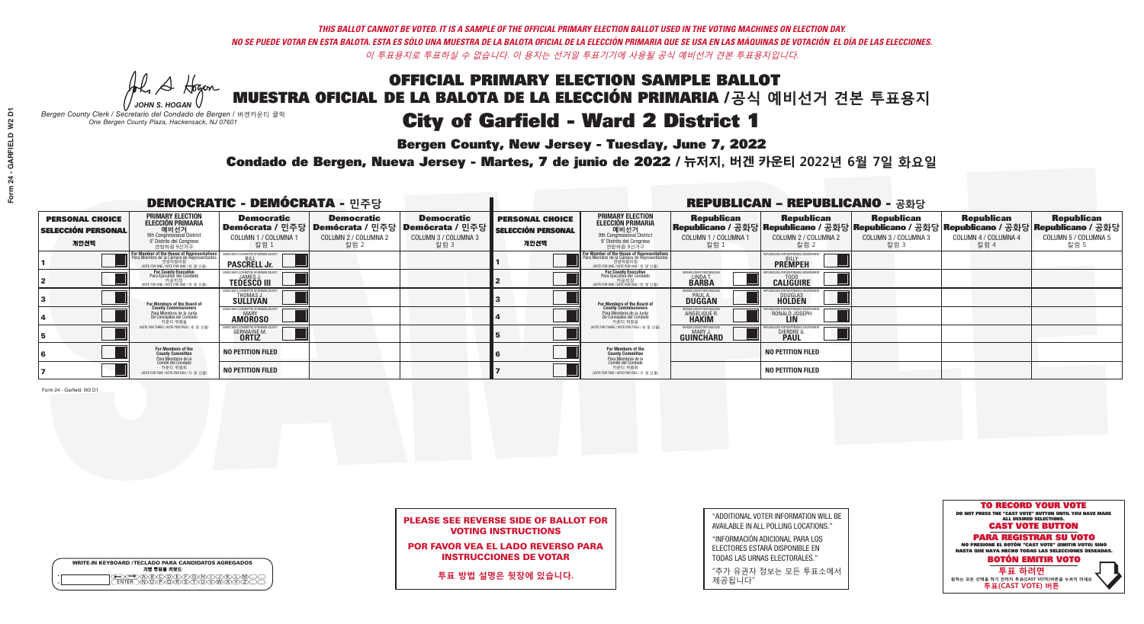# OFFICIAL PRIMARY ELECTION SAMPLE BALLOT MUESTRA OFICIAL DE LA BALOTA DE LA ELECCIÓN PRIMARIA /**공식 예비선거 견본 투표용지** City of Garfield - Ward 2 District 1

**Bergen County, New Jersey - Tuesday, June 7, 2022** 

A Hogan *JOHN S. HOGAN*

|         | <b>WRITE-IN KEYBOARD /TECLADO PARA CANDIDATOS AGREGADOS</b><br>기명 투표용 키보드 |  |
|---------|---------------------------------------------------------------------------|--|
| $\circ$ |                                                                           |  |

*Bergen County Clerk / Secretario del Condado de Bergen /* 버겐카운티 클럭 *One Bergen County Plaza, Hackensack, NJ 07601*



### PLEASE SEE REVERSE SIDE OF BALLOT FOR VOTING INSTRUCTIONS

POR FAVOR VEA EL LADO REVERSO PARA INSTRUCCIONES DE VOTAR

**투표 방법 설명은 뒷장에 있습니다.**

| "ADDITIONAL VOTER INFORMATION WILL BE |
|---------------------------------------|
| AVAILABLE IN ALL POLLING LOCATIONS."  |
|                                       |

"INFORMACIÓN ADICIONAL PARA LOS ELECTORES ESTARÁ DISPONIBLE EN TODAS LAS URNAS ELECTORALES."

"추가 유권자 정보는 모든 투표소에서 제공됩니다"

Condado de Bergen, Nueva Jersey - Martes, 7 de junio de 2022 / 뉴저지, 버겐 카운티 2022년 6월 7일 화요일 *One Bergen County Plaza, Hackensack, NJ 07601*

| <b>DEMOCRATIC - DEMÓCRATA - 민주당</b>                         |                                                                                                                                        |                                                    |                                                   |                                                                                                                    | <b>REPUBLICAN - REPUBLICANO - 공화당</b>                       |                                                                                                                                                             |                                                          |                                                                                                                                                |                                                   |                                                   |                                                   |  |
|-------------------------------------------------------------|----------------------------------------------------------------------------------------------------------------------------------------|----------------------------------------------------|---------------------------------------------------|--------------------------------------------------------------------------------------------------------------------|-------------------------------------------------------------|-------------------------------------------------------------------------------------------------------------------------------------------------------------|----------------------------------------------------------|------------------------------------------------------------------------------------------------------------------------------------------------|---------------------------------------------------|---------------------------------------------------|---------------------------------------------------|--|
| <b>PERSONAL CHOICE</b><br><b>SELECCIÓN PERSONAL</b><br>개인선택 | <b>PRIMARY ELECTION</b><br>ELECCIÓN PRIMARIA<br>예비선거<br><sup>9th</sup> Congressional District<br>9° Distrito del Congreso<br>연방하원 9선거구 | <b>Democratic</b><br>COLUMN 1 / COLUMNA<br>칼럼 1    | <b>Democratic</b><br>COLUMN 2 / COLUMNA 2<br>칼럼 2 | <b>Democratic</b><br>  Demócrata / 민주당   Demócrata / 민주당   Demócrata / 민주당 <br><b>COLUMN 3 / COLUMNA 3</b><br>칼럼 3 | <b>PERSONAL CHOICE</b><br><b>SELECCIÓN PERSONAL</b><br>개인선택 | <b>PRIMARY ELECTION</b><br>ELECCIÓN PRIMARIA<br>애비선거<br><sup>애</sup> Congressional District<br>º Distrito del Congreso<br>연방하원 9선거구                         | <b>Republican</b><br>COLUMN 1 / COLUMNA 1<br>칼럼 1        | <b>Republican</b><br>Republicano / 공화당 Republicano / 공화당 Republicano / 공화당 Republicano / 공화당 Republicano / 공화당<br>COLUMN 2 / COLUMNA 2<br>칼럼 2 | <b>Republican</b><br>COLUMN 3 / COLUMNA 3<br>칼럼 3 | <b>Republican</b><br>COLUMN 4 / COLUMNA 4<br>칼럼 4 | <b>Republican</b><br>COLUMN 5 / COLUMNA 5<br>칼럼 5 |  |
|                                                             | For Member of the House of Representatives<br>Para Miembro de la Cámara de Representantes                                              | COMMITTEE OF BERGEN COUN<br><b>PASCRELL Jr.</b>    |                                                   |                                                                                                                    |                                                             | F <mark>or Member of the House of Representatives</mark><br>Para Miembro de la Cámara de Representantes<br>연방하원의원<br>(VOTE FOR ONE / VOTE POR UNO / 한 명 선출) |                                                          | <b>FPUBLICANS FOR RESPONSIBLE GOVERNMEN</b><br><b>PREMPEH</b>                                                                                  |                                                   |                                                   |                                                   |  |
|                                                             | For County Executive<br>Para Ejecutivo del Condado<br>VOTE FOR ONE / VOTE POR UNO / 한 명 선출)                                            | <b>JAMES</b><br><b>TEDESCO III</b>                 |                                                   |                                                                                                                    |                                                             | For County Executive<br>Para Ejecutivo del Condado<br>. 카운티장<br>(VOTE FOR ONE / VOTE POR UNO / 한 명 선출)                                                      | BERGEN COUNTY REPUBLICA<br><b>LINDAT</b><br><b>BARBA</b> | <b>CALIGUIRE</b>                                                                                                                               |                                                   |                                                   |                                                   |  |
|                                                             | <b>For Members of the Board of<br/>County Commissioners</b>                                                                            | THOMAS J.                                          |                                                   |                                                                                                                    |                                                             | <b>For Members of the Board of County Commissioners</b>                                                                                                     | BERGEN COUNTY REPUBLICAN<br><b>DUGGAN</b>                | <b>DOUGLAS</b><br><b>HOLDEN</b>                                                                                                                |                                                   |                                                   |                                                   |  |
|                                                             | Para Miembros de la Junta<br>De Concejales del Condado<br>카우티 위원들                                                                      | ICRATIC COMMITTEE OF BERGEN COUN<br><b>AMOROSO</b> |                                                   |                                                                                                                    |                                                             | Para Miembros de la Junta<br>De Concejales del Condado<br>카운티 위원들                                                                                           | ERGEN COUNTY REPUBLICAN<br><b>ANGELIQUE F</b>            | RONALD JOSEPH                                                                                                                                  |                                                   |                                                   |                                                   |  |
|                                                             | (VOTE FOR THREE / VOTE POR TRES / 세 명 선출)                                                                                              | <b>GERMAINE M.</b><br><b>ORTIZ</b>                 |                                                   |                                                                                                                    |                                                             | (VOTE FOR THREE / VOTE POR TRES / 세 명 선출)                                                                                                                   | ERGEN COUNTY REPUBLICAN<br>MARY J<br><b>GUINCHARD</b>    | <b>DIERDRE G<br/>PAUL</b>                                                                                                                      |                                                   |                                                   |                                                   |  |
|                                                             | For Members of the<br>County Committee<br>Para Miembros de la<br>Comité del Condado                                                    | <b>NO PETITION FILED</b>                           |                                                   |                                                                                                                    |                                                             | For Members of the<br>County Committee                                                                                                                      |                                                          | <b>NO PETITION FILED</b>                                                                                                                       |                                                   |                                                   |                                                   |  |
|                                                             | 카운티 위원회<br>NOTE FOR TWO / VOTE POR DOS / 두 명 선출)                                                                                       | <b>NO PETITION FILED</b>                           |                                                   |                                                                                                                    |                                                             | Para Miembros de la<br>Comité del Condado<br>카운티 위원회<br>(VOTE FOR TWO / VOTE POR DOS / 두 명 선출)                                                              |                                                          | <b>NO PETITION FILED</b>                                                                                                                       |                                                   |                                                   |                                                   |  |

Form 24 - Garfield W2 D1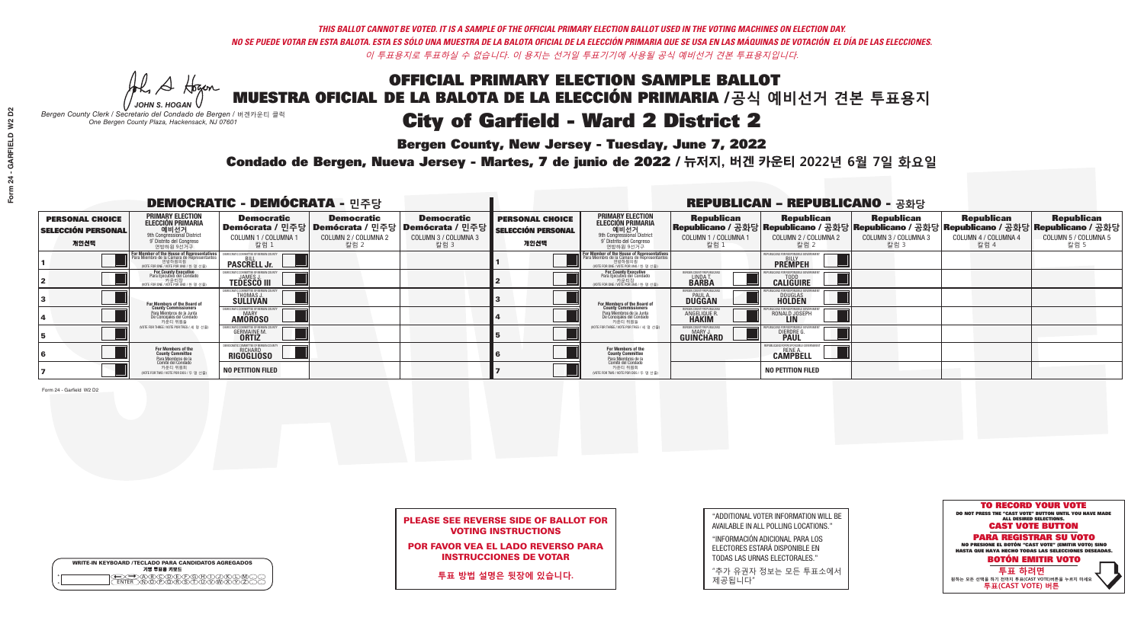## OFFICIAL PRIMARY ELECTION SAMPLE BALLOT MUESTRA OFICIAL DE LA BALOTA DE LA ELECCIÓN PRIMARIA /**공식 예비선거 견본 투표용지** City of Garfield - Ward 2 District 2

**Bergen County, New Jersey - Tuesday, June 7, 2022** 

A Hogan *JOHN S. HOGAN*

|              | <b>WRITE-IN KEYBOARD /TECLADO PARA CANDIDATOS AGREGADOS</b><br>기명 투표용 키보드 |
|--------------|---------------------------------------------------------------------------|
| ٥<br>$\circ$ | (B)C)D)E)(F)(G)(H)                                                        |

*Bergen County Clerk / Secretario del Condado de Bergen /* 버겐카운티 클럭 *One Bergen County Plaza, Hackensack, NJ 07601*



## PLEASE SEE REVERSE SIDE OF BALLOT FOR VOTING INSTRUCTIONS

POR FAVOR VEA EL LADO REVERSO PARA INSTRUCCIONES DE VOTAR

**투표 방법 설명은 뒷장에 있습니다.**

| "ADDITIONAL VOTER INFORMATION WILL BE |
|---------------------------------------|
| AVAILABLE IN ALL POLLING LOCATIONS."  |
|                                       |

"INFORMACIÓN ADICIONAL PARA LOS ELECTORES ESTARÁ DISPONIBLE EN TODAS LAS URNAS ELECTORALES."

"추가 유권자 정보는 모든 투표소에서 제공됩니다"

Condado de Bergen, Nueva Jersey - Martes, 7 de junio de 2022 / 뉴저지, 버겐 카운티 2022년 6월 7일 화요일 *One Bergen County Plaza, Hackensack, NJ 07601*

| <b>DEMOCRATIC - DEMÓCRATA - 민주당</b>                         |                                                                                                                                               |                                                                     |                                                   |                                                                                                             | <b>REPUBLICAN - REPUBLICANO - 공화당</b>                       |                                                                                                                                                             |                                                             |                                                                                                                                                  |                                                   |                                                   |                                                   |  |
|-------------------------------------------------------------|-----------------------------------------------------------------------------------------------------------------------------------------------|---------------------------------------------------------------------|---------------------------------------------------|-------------------------------------------------------------------------------------------------------------|-------------------------------------------------------------|-------------------------------------------------------------------------------------------------------------------------------------------------------------|-------------------------------------------------------------|--------------------------------------------------------------------------------------------------------------------------------------------------|---------------------------------------------------|---------------------------------------------------|---------------------------------------------------|--|
| <b>PERSONAL CHOICE</b><br><b>SELECCIÓN PERSONAL</b><br>개인선택 | <b>PRIMARY ELECTION</b><br><b>ELECCIÓN PRIMARIA</b><br>예비선거<br><sup>9th</sup> Congressional District<br>a: congressional Discri<br>연방하원 9선거구  | <b>Democratic</b><br>COLUMN 1 / COLUMNA<br>칼럼 1                     | <b>Democratic</b><br>COLUMN 2 / COLUMNA 2<br>칼럼 2 | <b>Democratic</b><br>  Demócrata / 민주당   Demócrata / 민주당   Demócrata / 민주당 <br>COLUMN 3 / COLUMNA 3<br>칼럼 3 | <b>PERSONAL CHOICE</b><br><b>SELECCIÓN PERSONAL</b><br>개인선택 | <b>PRIMARY ELECTION</b><br><b>ELECCIÓN PRIMARIA</b><br>예비선거<br><sup>9th</sup> Congressional District<br><sup>9'</sup> Distrito del Congreso<br>연방하원 9선거구    | <b>Republican</b><br>COLUMN 1 / COLUMNA 1<br>칼럼 1           | <b>Republican</b><br>Republicano / 공화당 Republicano / 공화당 Republicano / 공화당 Republicano / 공화당 Republicano / 공화당<br>COLUMN 2 / COLUMNA 2<br>- 칼럼 2 | <b>Republican</b><br>COLUMN 3 / COLUMNA 3<br>칼럼 3 | <b>Republican</b><br>COLUMN 4 / COLUMNA 4<br>칼럼 4 | <b>Republican</b><br>COLUMN 5 / COLUMNA 5<br>칼럼 5 |  |
|                                                             | For Member of the House of Representatives<br>Para Miembro de la Cámara de Representantes<br>연방하원의원<br>(VOTE FOR ONE / VOTE POR UNO / 한 명 선출) | <b>PASCRELL Jr.</b>                                                 |                                                   |                                                                                                             |                                                             | F <mark>or Member of the House of Representatives</mark><br>Para Miembro de la Cámara de Representantes<br>연방하원의원<br>(VOTE FOR ONE / VOTE POR UNO / 한 명 선출) |                                                             | <b>PREMPEH</b>                                                                                                                                   |                                                   |                                                   |                                                   |  |
|                                                             | For County Executive<br>Para Ejecutivo del Condado<br>WOTE FOR ONE / VOTE POR UNO / 한 명 선출)                                                   | <b>TEDESCO III</b>                                                  |                                                   |                                                                                                             |                                                             | <b>For County Executive</b><br>Para Ejecutivo del Condado<br>7) 카운티장<br>(VOTE FOR ONE / VOTE POR UNO / 한 명 선출)                                              | BERGEN COUNTY REPUBLICA<br>LINDAT.                          | <b>CALIGUIRE</b>                                                                                                                                 |                                                   |                                                   |                                                   |  |
|                                                             | For Members of the Board of<br>County Commissioners                                                                                           | <b>THOMAS J.</b><br><b>SULLIVAN</b>                                 |                                                   |                                                                                                             |                                                             | For Members of the Board of<br>County Commissioners                                                                                                         | BERGEN COUNTY REPUBLICAN<br><b>PAUL A.</b><br><b>DUGGAN</b> | <b>DOUGLAS</b>                                                                                                                                   |                                                   |                                                   |                                                   |  |
|                                                             | Para Miembros de la Junta<br>De Concejales del Condado<br>카운티 위원들                                                                             | MOCRATIC COMMITTEE OF BERGEN COUN<br><b>AMOROSO</b>                 |                                                   |                                                                                                             |                                                             | Para Miembros de la Junta<br>De Concejales del Condado<br>카운티 위원들                                                                                           | ERGEN COUNTY REPUBLICAN<br>ANGELIQUE R.<br><b>HAKIM</b>     | RONALD JOSEPH                                                                                                                                    |                                                   |                                                   |                                                   |  |
|                                                             | NOTE FOR THREE / VOTE POR TRES / 세 명 선출)                                                                                                      | <b>GERMAINE M.</b>                                                  |                                                   |                                                                                                             |                                                             | (VOTE FOR THREE / VOTE POR TRES / 세 명 선출)                                                                                                                   | BERGEN COUNTY REPUBLICAN<br>MARY J<br>GUINCHARD             | <b>DIERDRE</b>                                                                                                                                   |                                                   |                                                   |                                                   |  |
|                                                             | For Members of the<br>County Committee<br>Para Miembros de la<br>Comité del Condado                                                           | MOCRATIC COMMITTEE OF BERGEN<br><b>RICHARD</b><br><b>RIGOGLIOSO</b> |                                                   |                                                                                                             |                                                             | For Members of the<br>County Committee                                                                                                                      |                                                             | EPURLICANS ENR RESPONSIBLE G<br><b>CAMPBELL</b>                                                                                                  |                                                   |                                                   |                                                   |  |
|                                                             | 카운티 위원회<br>NOTE FOR TWO / VOTE POR DOS / 두 명 선출)                                                                                              | <b>NO PETITION FILED</b>                                            |                                                   |                                                                                                             |                                                             | Para Miembros de la<br>Comité del Condado<br>카운티 위원회<br>NOTE FOR TWO / VOTE POR DOS / 두 명 선출)                                                               |                                                             | <b>NO PETITION FILED</b>                                                                                                                         |                                                   |                                                   |                                                   |  |

Form 24 - Garfield W2 D2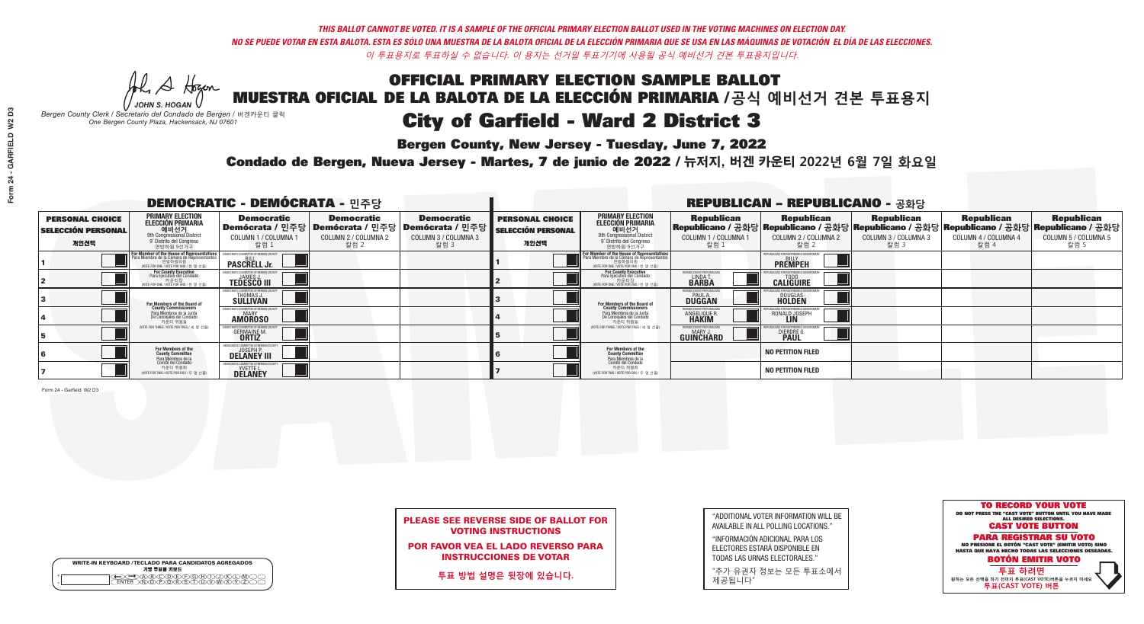# OFFICIAL PRIMARY ELECTION SAMPLE BALLOT MUESTRA OFICIAL DE LA BALOTA DE LA ELECCIÓN PRIMARIA /**공식 예비선거 견본 투표용지** City of Garfield - Ward 2 District 3

**Bergen County, New Jersey - Tuesday, June 7, 2022** 

A Hogan *JOHN S. HOGAN*

|         | <b>WRITE-IN KEYBOARD /TECLADO PARA CANDIDATOS AGREGADOS</b><br>기명 투표용 키보드 |
|---------|---------------------------------------------------------------------------|
| $\circ$ | )(B)(C)(D)(E)(F)(G)(H)(<br><b>ক@জকক</b>                                   |

*Bergen County Clerk / Secretario del Condado de Bergen /* 버겐카운티 클럭 *One Bergen County Plaza, Hackensack, NJ 07601*



### PLEASE SEE REVERSE SIDE OF BALLOT FOR VOTING INSTRUCTIONS

POR FAVOR VEA EL LADO REVERSO PARA INSTRUCCIONES DE VOTAR

**투표 방법 설명은 뒷장에 있습니다.**

| "ADDITIONAL VOTER INFORMATION WILL BE |
|---------------------------------------|
| AVAILABLE IN ALL POLLING LOCATIONS."  |
|                                       |

"INFORMACIÓN ADICIONAL PARA LOS ELECTORES ESTARÁ DISPONIBLE EN TODAS LAS URNAS ELECTORALES."

"추가 유권자 정보는 모든 투표소에서 제공됩니다"

Condado de Bergen, Nueva Jersey - Martes, 7 de junio de 2022 / 뉴저지, 버겐 카운티 2022년 6월 7일 화요일 *One Bergen County Plaza, Hackensack, NJ 07601*

| <b>DEMOCRATIC - DEMÓCRATA - 민주당</b>                         |                                                                                                                                                           |                                                     |                                                   |                                                                                                             | <b>REPUBLICAN - REPUBLICANO - 공화당</b>                       |                                                                                                                                                             |                                                             |                                                                                                                                                  |                                                   |                                                   |                                                   |  |
|-------------------------------------------------------------|-----------------------------------------------------------------------------------------------------------------------------------------------------------|-----------------------------------------------------|---------------------------------------------------|-------------------------------------------------------------------------------------------------------------|-------------------------------------------------------------|-------------------------------------------------------------------------------------------------------------------------------------------------------------|-------------------------------------------------------------|--------------------------------------------------------------------------------------------------------------------------------------------------|---------------------------------------------------|---------------------------------------------------|---------------------------------------------------|--|
| <b>PERSONAL CHOICE</b><br><b>SELECCIÓN PERSONAL</b><br>개인선택 | PRIMARY ELECTION<br><b>ELECCIÓN PRIMARIA</b><br>예비선거<br><sup>9th</sup> Congressional District<br><sup>9</sup> Distrito del Congreso<br>연방하원 9선거구          | <b>Democratic</b><br>COLUMN 1 / COLUMNA<br>칼럼 1     | <b>Democratic</b><br>COLUMN 2 / COLUMNA 2<br>칼럼 2 | <b>Democratic</b><br>  Demócrata / 민주당   Demócrata / 민주당   Demócrata / 민주당 <br>COLUMN 3 / COLUMNA 3<br>칼럼 3 | <b>PERSONAL CHOICE</b><br><b>SELECCIÓN PERSONAL</b><br>개인선택 | <b>PRIMARY ELECTION</b><br>ELECCIÓN PRIMARIA<br>예비선거<br><sup>91</sup> Distrito del Congresso<br>연방하원 9선거구                                                   | <b>Republican</b><br>COLUMN 1 / COLUMNA 1<br>칼럼 1           | <b>Republican</b><br>Republicano / 공화당 Republicano / 공화당 Republicano / 공화당 Republicano / 공화당 Republicano / 공화당<br>COLUMN 2 / COLUMNA 2<br>- 칼럼 2 | <b>Republican</b><br>COLUMN 3 / COLUMNA 3<br>칼럼 3 | <b>Republican</b><br>COLUMN 4 / COLUMNA 4<br>칼럼 4 | <b>Republican</b><br>COLUMN 5 / COLUMNA 5<br>칼럼 5 |  |
|                                                             | F <mark>or Member of the House of Representatives</mark><br>Para Miembro de la Cámara de Representantes<br>연방하원의원<br>(VOTE FOR ONE / VOTE POR UNO / 한명선출) | <b>PASCRELL Jr.</b>                                 |                                                   |                                                                                                             |                                                             | F <mark>or Member of the House of Representatives</mark><br>Para Miembro de la Cámara de Representantes<br>연방하원의원<br>(VOTE FOR ONE / VOTE POR UNO / 한 명 선출) |                                                             | <b>PREMPEH</b>                                                                                                                                   |                                                   |                                                   |                                                   |  |
|                                                             | For County Executive<br>Para Ejecutivo del Condado<br>VOTE FOR ONE / VOTE POR UNO / 한 명 선출)                                                               | <b>TEDESCO III</b>                                  |                                                   |                                                                                                             |                                                             | For County Executive<br>Para Ejecutivo del Condado<br>. 카운티장<br>(VOTE FOR ONE / VOTE POR UNO / 한 명 선출)                                                      | BERGEN COUNTY REPUBLICA<br><b>LINDAT</b><br><b>BARBA</b>    | <b>CALIGUIRE</b>                                                                                                                                 |                                                   |                                                   |                                                   |  |
|                                                             | For Members of the Board of<br>County Commissioners                                                                                                       | )CRATIC COMMITTEE OF BERGEN C<br>THOMAS J.          |                                                   |                                                                                                             |                                                             | <b>For Members of the Board of County Commissioners</b>                                                                                                     | BERGEN COUNTY REPUBLICAN<br><b>PAUL A.</b><br><b>DUGGAN</b> | <b>DOUGLAS</b><br><b>HOLDEN</b>                                                                                                                  |                                                   |                                                   |                                                   |  |
|                                                             | Para Miembros de la Junta<br>De Concejales del Condado<br>카운티 위원들                                                                                         | MOCRATIC COMMITTEE OF BERGEN COUN<br><b>AMOROSO</b> |                                                   |                                                                                                             |                                                             | Para Miembros de la Junta<br>De Concejales del Condado<br>카운티 위원들                                                                                           | <b>ERGEN COUNTY REPUBLICA</b><br><b>ANGELIQUE F</b>         | RONALD JOSEPH                                                                                                                                    |                                                   |                                                   |                                                   |  |
|                                                             | (VOTE FOR THREE / VOTE POR TRES / 세 명 선출)                                                                                                                 | <b>GERMAINE M.</b><br><b>ORTIZ</b>                  |                                                   |                                                                                                             |                                                             | (VOTE FOR THREE / VOTE POR TRES / 세 명 선출)                                                                                                                   | ERGEN COUNTY REPUBLICAN<br>MARY J<br><b>GUINCHARD</b>       | <b>DIERDRE</b>                                                                                                                                   |                                                   |                                                   |                                                   |  |
|                                                             | For Members of the<br>County Committee<br>Para Miembros de la<br>Comité del Condado                                                                       | MOCRATIC COMMITTEE OF BERGEN<br><b>DELANEY III</b>  |                                                   |                                                                                                             |                                                             | For Members of the<br>County Committee                                                                                                                      |                                                             | <b>NO PETITION FILED</b>                                                                                                                         |                                                   |                                                   |                                                   |  |
|                                                             | 카운티 위원회<br>(VOTE FOR TWO / VOTE POR DOS / 두 명 선출)                                                                                                         | DELANEY                                             |                                                   |                                                                                                             |                                                             | Para Miembros de la<br>Comité del Condado<br>카운티 위원회<br>(VOTE FOR TWO / VOTE POR DOS / 두 명 선출)                                                              |                                                             | <b>NO PETITION FILED</b>                                                                                                                         |                                                   |                                                   |                                                   |  |

Form 24 - Garfield W2 D3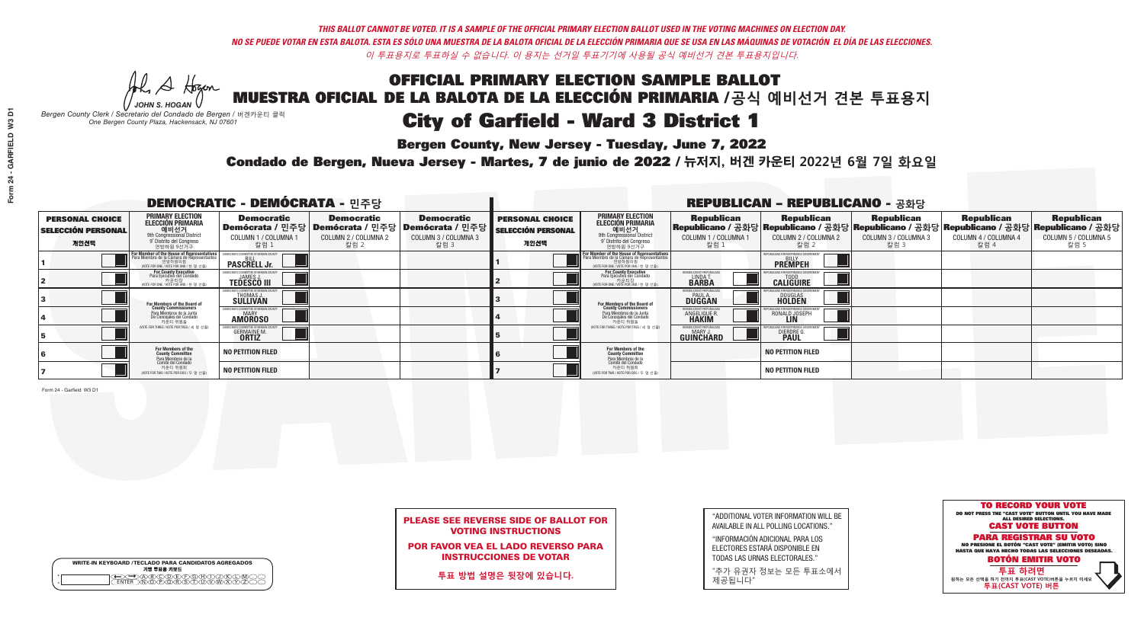# OFFICIAL PRIMARY ELECTION SAMPLE BALLOT MUESTRA OFICIAL DE LA BALOTA DE LA ELECCIÓN PRIMARIA /**공식 예비선거 견본 투표용지** City of Garfield - Ward 3 District 1

**Bergen County, New Jersey - Tuesday, June 7, 2022** 

A Hogan *JOHN S. HOGAN*

|              | <b>WRITE-IN KEYBOARD /TECLADO PARA CANDIDATOS AGREGADOS</b><br>기명 투표용 키보드 |  |
|--------------|---------------------------------------------------------------------------|--|
| ٥<br>$\circ$ | ৲ৡৣ৻ঽৣৼৣৣ৾৾৻৾                                                             |  |

*Bergen County Clerk / Secretario del Condado de Bergen /* 버겐카운티 클럭 *One Bergen County Plaza, Hackensack, NJ 07601*

![](_page_6_Picture_18.jpeg)

## PLEASE SEE REVERSE SIDE OF BALLOT FOR VOTING INSTRUCTIONS

POR FAVOR VEA EL LADO REVERSO PARA INSTRUCCIONES DE VOTAR

**투표 방법 설명은 뒷장에 있습니다.**

| "ADDITIONAL VOTER INFORMATION WILL BE |
|---------------------------------------|
| AVAILABLE IN ALL POLLING LOCATIONS."  |
|                                       |

"INFORMACIÓN ADICIONAL PARA LOS ELECTORES ESTARÁ DISPONIBLE EN TODAS LAS URNAS ELECTORALES."

"추가 유권자 정보는 모든 투표소에서 제공됩니다"

Condado de Bergen, Nueva Jersey - Martes, 7 de junio de 2022 / 뉴저지, 버겐 카운티 2022년 6월 7일 화요일 *One Bergen County Plaza, Hackensack, NJ 07601*

| <b>DEMOCRATIC - DEMÓCRATA - 민주당</b>                         |                                                                                                                                                   |                                                             |                                                   |                                                                                                                   | <b>REPUBLICAN - REPUBLICANO - 공화당</b>                       |                                                                                                                                                             |                                                             |                                                                                                                                                |                                                   |                                                   |                                                   |  |
|-------------------------------------------------------------|---------------------------------------------------------------------------------------------------------------------------------------------------|-------------------------------------------------------------|---------------------------------------------------|-------------------------------------------------------------------------------------------------------------------|-------------------------------------------------------------|-------------------------------------------------------------------------------------------------------------------------------------------------------------|-------------------------------------------------------------|------------------------------------------------------------------------------------------------------------------------------------------------|---------------------------------------------------|---------------------------------------------------|---------------------------------------------------|--|
| <b>PERSONAL CHOICE</b><br><b>SELECCIÓN PERSONAL</b><br>개인선택 | <b>PRIMARY ELECTION</b><br>ELECCIÓN PRIMARIA<br>에비선거<br><sup>9th</sup> Congressional District<br><sup>9'</sup> Distrito del Congreso<br>연방하원 9선거구 | <b>Democratic</b><br>COLUMN 1 / COLUMNA<br>칼럼 1             | <b>Democratic</b><br>COLUMN 2 / COLUMNA 2<br>칼럼 2 | <b>Democratic</b><br>  Demócrata / 민주당   Demócrata / 민주당   Demócrata / 민주당<br><b>COLUMN 3 / COLUMNA 3</b><br>칼럼 3 | <b>PERSONAL CHOICE</b><br><b>SELECCIÓN PERSONAL</b><br>개인선택 | <b>PRIMARY ELECTION</b><br>ELECCIÓN PRIMARIA<br>애비선거<br><sup>애</sup> Congressional District<br>º Distrito del Congreso<br>연방하원 9선거구                         | <b>Republican</b><br>COLUMN 1 / COLUMNA 1<br>칼럼 1           | <b>Republican</b><br>Republicano / 공화당 Republicano / 공화당 Republicano / 공화당 Republicano / 공화당 Republicano / 공화당<br>COLUMN 2 / COLUMNA 2<br>칼럼 2 | <b>Republican</b><br>COLUMN 3 / COLUMNA 3<br>칼럼 3 | <b>Republican</b><br>COLUMN 4 / COLUMNA 4<br>칼럼 4 | <b>Republican</b><br>COLUMN 5 / COLUMNA 5<br>칼럼 5 |  |
|                                                             | F <b>or Member of the House of Representatives</b><br>Para Miembro de la Cámara de Representantes                                                 | DEMOCRATIC COMMITTEE OF BERGEN COUNT<br><b>PASCRELL Jr.</b> |                                                   |                                                                                                                   |                                                             | F <mark>or Member of the House of Representatives</mark><br>Para Miembro de la Cámara de Representantes<br>연방하원의원<br>(VOTE FOR ONE / VOTE POR UNO / 한 명 선출) |                                                             | <b>FPUBLICANS FOR RESPONSIBLE GOVERNMEN</b><br><b>PREMPEH</b>                                                                                  |                                                   |                                                   |                                                   |  |
|                                                             | For County Executive<br>Para Ejecutivo del Condado<br>VOTE FOR ONE / VOTE POR UNO / 한 명 선출)                                                       | JAMES.<br><b>TEDESCO III</b>                                |                                                   |                                                                                                                   |                                                             | For County Executive<br>Para Ejecutivo del Condado<br>- 기어 - 기운티장<br>- 서THE FOR ONE / VOTE POR UNO / 한 명 선춘                                                 | BERGEN COUNTY REPUBLICA<br><b>LINDAT</b><br><b>BARBA</b>    | <b>CALIGUIRE</b>                                                                                                                               |                                                   |                                                   |                                                   |  |
|                                                             | <b>For Members of the Board of<br/>County Commissioners</b>                                                                                       | THOMAS J.                                                   |                                                   |                                                                                                                   |                                                             | For Members of the Board of<br>County Commissioners                                                                                                         | BERGEN COUNTY REPUBLICAN<br><b>PAUL A.</b><br><b>DUGGAN</b> | <b>DOUGLAS</b><br><b>HOLDEN</b>                                                                                                                |                                                   |                                                   |                                                   |  |
|                                                             | Para Miembros de la Junta<br>De Concejales del Condado<br>카운티 위원들                                                                                 | IOCRATIC COMMITTEE OF BERGEN COUNT<br><b>AMOROSO</b>        |                                                   |                                                                                                                   |                                                             | Para Miembros de la Junta<br>De Concejales del Condado<br>카운티 위원들                                                                                           | ERGEN COUNTY REPUBLICAN<br><b>ANGELIQUE R</b>               | RONALD JOSEPH                                                                                                                                  |                                                   |                                                   |                                                   |  |
|                                                             | (VOTE FOR THREE / VOTE POR TRES / 세 명 선출)                                                                                                         | <b>GERMAINE M.</b><br><b>ORTIZ</b>                          |                                                   |                                                                                                                   |                                                             | (VOTE FOR THREE / VOTE POR TRES / 세 명 선출)                                                                                                                   | ERGEN COUNTY REPUBLICAN<br><b>GUINCHARD</b>                 | <b>DIERDRE G<br/>PAUL</b>                                                                                                                      |                                                   |                                                   |                                                   |  |
|                                                             | For Members of the<br>County Committee<br>Para Miembros de la<br>Comité del Condado                                                               | <b>NO PETITION FILED</b>                                    |                                                   |                                                                                                                   |                                                             | <b>For Members of the<br/>County Committee</b>                                                                                                              |                                                             | <b>NO PETITION FILED</b>                                                                                                                       |                                                   |                                                   |                                                   |  |
|                                                             | 카운티 위원회<br>NOTE FOR TWO / VOTE POR DOS / 두 명 선출)                                                                                                  | <b>NO PETITION FILED</b>                                    |                                                   |                                                                                                                   |                                                             | Para Miembros de la<br>Comité del Condado<br>카운티 위원회<br>(VOTE FOR TWO / VOTE POR DOS / 두 명 선출)                                                              |                                                             | <b>NO PETITION FILED</b>                                                                                                                       |                                                   |                                                   |                                                   |  |

Form 24 - Garfield W3 D1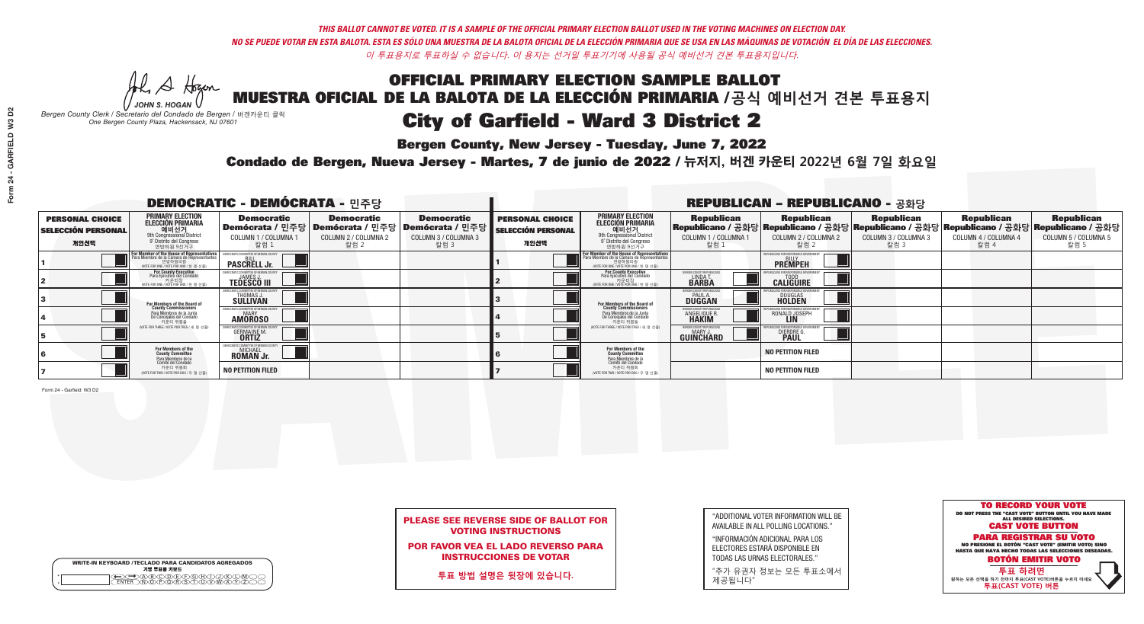## OFFICIAL PRIMARY ELECTION SAMPLE BALLOT MUESTRA OFICIAL DE LA BALOTA DE LA ELECCIÓN PRIMARIA /**공식 예비선거 견본 투표용지** City of Garfield - Ward 3 District 2

**Bergen County, New Jersey - Tuesday, June 7, 2022** 

A Hogan *JOHN S. HOGAN*

|              | <b>WRITE-IN KEYBOARD /TECLADO PARA CANDIDATOS AGREGADOS</b><br>기명 투표용 키보드 |
|--------------|---------------------------------------------------------------------------|
| ٥<br>$\circ$ | )®©®©©©®©©<br>}®®®®®©™™™                                                  |

*Bergen County Clerk / Secretario del Condado de Bergen /* 버겐카운티 클럭 *One Bergen County Plaza, Hackensack, NJ 07601*

![](_page_7_Picture_18.jpeg)

### PLEASE SEE REVERSE SIDE OF BALLOT FOR VOTING INSTRUCTIONS

POR FAVOR VEA EL LADO REVERSO PARA INSTRUCCIONES DE VOTAR

**투표 방법 설명은 뒷장에 있습니다.**

| "ADDITIONAL VOTER INFORMATION WILL BE |
|---------------------------------------|
| AVAILABLE IN ALL POLLING LOCATIONS."  |
|                                       |

"INFORMACIÓN ADICIONAL PARA LOS ELECTORES ESTARÁ DISPONIBLE EN TODAS LAS URNAS ELECTORALES."

"추가 유권자 정보는 모든 투표소에서 제공됩니다"

Condado de Bergen, Nueva Jersey - Martes, 7 de junio de 2022 / 뉴저지, 버겐 카운티 2022년 6월 7일 화요일 *One Bergen County Plaza, Hackensack, NJ 07601*

| <b>DEMOCRATIC - DEMÓCRATA - 민주당</b>                         |                                                                                                                                             |                                                                       |                                                   |                                                                                                            | <b>REPUBLICAN - REPUBLICANO - 공화당</b>                       |                                                                                                                                                             |                                                             |                                                                                                                                                |                                                   |                                                   |                                                   |  |
|-------------------------------------------------------------|---------------------------------------------------------------------------------------------------------------------------------------------|-----------------------------------------------------------------------|---------------------------------------------------|------------------------------------------------------------------------------------------------------------|-------------------------------------------------------------|-------------------------------------------------------------------------------------------------------------------------------------------------------------|-------------------------------------------------------------|------------------------------------------------------------------------------------------------------------------------------------------------|---------------------------------------------------|---------------------------------------------------|---------------------------------------------------|--|
| <b>PERSONAL CHOICE</b><br><b>SELECCIÓN PERSONAL</b><br>개인선택 | PRIMARY ELECTION<br>ELECCIÓN PRIMARIA<br>에비선거<br><sup>애비선거</sup><br><sup>9</sup> Distrite del Congreso<br>연방하원 9선거구                         | <b>Democratic</b><br><b>COLUMN 1 / COLUMNA 1</b><br>칼럼 1              | <b>Democratic</b><br>COLUMN 2 / COLUMNA 2<br>칼럼 2 | <b>Democratic</b><br>  Demócrata / 민주당   Demócrata / 민주당   Demócrata / 민주당<br>COLUMN 3 / COLUMNA 3<br>칼럼 3 | <b>PERSONAL CHOICE</b><br><b>SELECCIÓN PERSONAL</b><br>개인선택 | <b>PRIMARY ELECTION</b><br>ELECCIÓN PRIMARIA<br>예비선거<br><sup>91</sup> Distrito del Congresso<br>연방하원 9선거구                                                   | <b>Republican</b><br>COLUMN 1 / COLUMNA 1<br>칼럼 1           | <b>Republican</b><br>Republicano / 공화당 Republicano / 공화당 Republicano / 공화당 Republicano / 공화당 Republicano / 공화당<br>COLUMN 2 / COLUMNA 2<br>칼럼 2 | <b>Republican</b><br>COLUMN 3 / COLUMNA 3<br>칼럼 3 | <b>Republican</b><br>COLUMN 4 / COLUMNA 4<br>칼럼 4 | <b>Republican</b><br>COLUMN 5 / COLUMNA 5<br>칼럼 5 |  |
|                                                             | For Member of the House of Representatives<br>Para Miembro de la Cámara de Representantes<br>연방하원의원<br>(VOTE FOR ONE / VOTE POR UNO / 한명선출) | <b>PASCRELL Jr.</b>                                                   |                                                   |                                                                                                            |                                                             | F <mark>or Member of the House of Representatives</mark><br>Para Miembro de la Cámara de Representantes<br>연방하원의원<br>(VOTE FOR ONE / VOTE POR UNO / 한 명 선출) |                                                             | FPUBLICANS FOR RESPONSIBLE GOVERNMEN<br><b>PREMPEH</b>                                                                                         |                                                   |                                                   |                                                   |  |
|                                                             | For County Executive<br>Para Ejecutivo del Condado<br>(VOTE FOR ONE / VOTE POR UNO / 한 명 선출)                                                | <b>TEDESCO III</b>                                                    |                                                   |                                                                                                            |                                                             | For County Executive<br>Para Ejecutivo del Condado<br>. 카운티장<br>(VOTE FOR ONE / VOTE POR UNO / 한 명 선출)                                                      | BERGEN COUNTY REPUBLICA<br><b>LINDAT</b><br><b>BARBA</b>    | <b>CALIGUIRE</b>                                                                                                                               |                                                   |                                                   |                                                   |  |
|                                                             | <b>For Members of the Board of<br/>County Commissioners</b>                                                                                 | 10CRATIC COMMITTEE OF BERGEN C<br><b>THOMAS J.</b><br><b>SULLIVAN</b> |                                                   |                                                                                                            |                                                             | <b>For Members of the Board of County Commissioners</b>                                                                                                     | BERGEN COUNTY REPUBLICAN<br><b>PAUL A.</b><br><b>DUGGAN</b> | <b>DOUGLAS</b><br><b>HOLDEN</b>                                                                                                                |                                                   |                                                   |                                                   |  |
|                                                             | Para Miembros de la Junta<br>De Concejales del Condado<br>카운티 위원들                                                                           | 10CRATIC COMMITTEE OF BERGEN COUN<br><b>AMOROSO</b>                   |                                                   |                                                                                                            |                                                             | Para Miembros de la Junta<br>De Concejales del Condado<br>카운티 위원들                                                                                           | ERGEN COUNTY REPUBLICAN<br>ANGELIQUE R.<br><b>HAKIM</b>     | RONALD JOSEPH                                                                                                                                  |                                                   |                                                   |                                                   |  |
|                                                             | (VOTE FOR THREE / VOTE POR TRES / 세 명 선출)                                                                                                   | <b>GERMAINE M.</b>                                                    |                                                   |                                                                                                            |                                                             | (VOTE FOR THREE / VOTE POR TRES / 세 명 선출)                                                                                                                   | ERGEN COUNTY REPUBLICAN<br>MARY J<br><b>GUINCHARD</b>       | DIERDRE G                                                                                                                                      |                                                   |                                                   |                                                   |  |
|                                                             | For Members of the<br>County Committee<br>Para Miembros de la<br>Comité del Condado                                                         | MOCRATIC COMMITTEE OF BERGE<br><b>MICHAEL</b><br><b>ROMAN Jr.</b>     |                                                   |                                                                                                            |                                                             | For Members of the<br>County Committee                                                                                                                      |                                                             | <b>NO PETITION FILED</b>                                                                                                                       |                                                   |                                                   |                                                   |  |
|                                                             | 카운티 위원회<br>NOTE FOR TWO / VOTE POR DOS / 두 명 선출)                                                                                            | <b>NO PETITION FILED</b>                                              |                                                   |                                                                                                            |                                                             | Para Miembros de la<br>Comité del Condado<br>카운티 위원회<br>(VOTE FOR TWO / VOTE POR DOS / 두 명 선출)                                                              |                                                             | <b>NO PETITION FILED</b>                                                                                                                       |                                                   |                                                   |                                                   |  |

Form 24 - Garfield W3 D2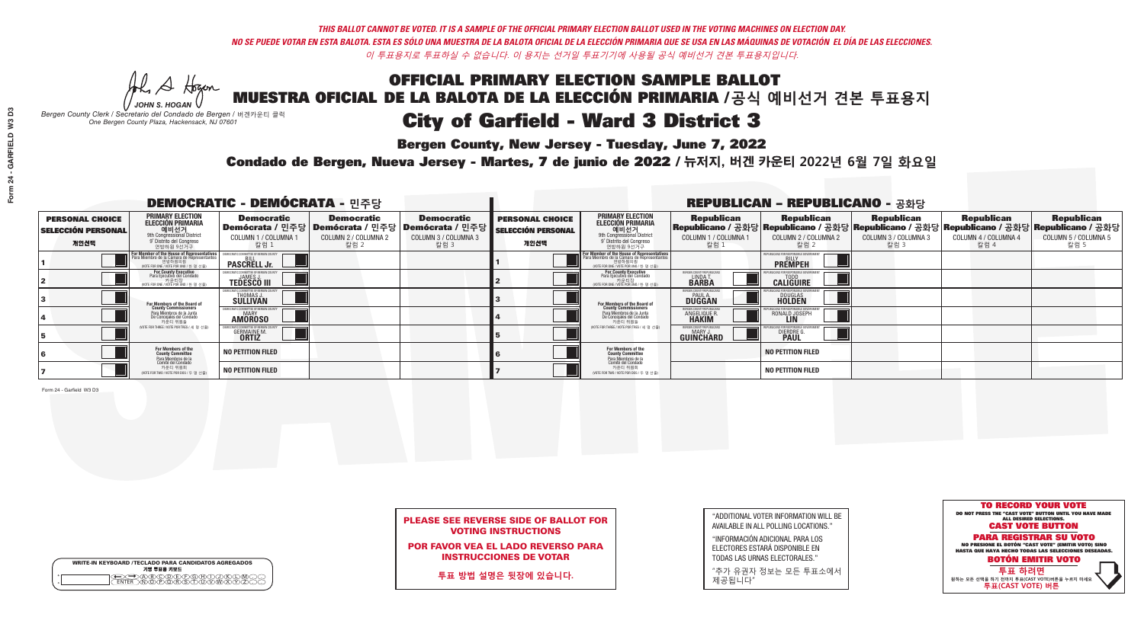## OFFICIAL PRIMARY ELECTION SAMPLE BALLOT MUESTRA OFICIAL DE LA BALOTA DE LA ELECCIÓN PRIMARIA /**공식 예비선거 견본 투표용지** City of Garfield - Ward 3 District 3

**Bergen County, New Jersey - Tuesday, June 7, 2022** 

A Hogan *JOHN S. HOGAN*

|                    | <b>WRITE-IN KEYBOARD /TECLADO PARA CANDIDATOS AGREGADOS</b><br>기명 투표용 키보드 |  |
|--------------------|---------------------------------------------------------------------------|--|
| $\circ$<br>$\circ$ | YEYEYAYAY<br>$\delta \infty$                                              |  |

*Bergen County Clerk / Secretario del Condado de Bergen /* 버겐카운티 클럭 *One Bergen County Plaza, Hackensack, NJ 07601*

![](_page_8_Picture_18.jpeg)

### PLEASE SEE REVERSE SIDE OF BALLOT FOR VOTING INSTRUCTIONS

POR FAVOR VEA EL LADO REVERSO PARA INSTRUCCIONES DE VOTAR

**투표 방법 설명은 뒷장에 있습니다.**

| "ADDITIONAL VOTER INFORMATION WILL BE |
|---------------------------------------|
| AVAILABLE IN ALL POLLING LOCATIONS."  |
|                                       |

"INFORMACIÓN ADICIONAL PARA LOS ELECTORES ESTARÁ DISPONIBLE EN TODAS LAS URNAS ELECTORALES."

"추가 유권자 정보는 모든 투표소에서 제공됩니다"

Condado de Bergen, Nueva Jersey - Martes, 7 de junio de 2022 / 뉴저지, 버겐 카운티 2022년 6월 7일 화요일 *One Bergen County Plaza, Hackensack, NJ 07601*

| <b>DEMOCRATIC - DEMÓCRATA - 민주당</b>                         |                                                                                                                                                         |                                                                |                                                   |                                                                                                        | <b>REPUBLICAN - REPUBLICANO - 공화당</b>                       |                                                                                                                                                             |                                                          |                                                                                                                                                |                                                   |                                                   |                                                   |  |
|-------------------------------------------------------------|---------------------------------------------------------------------------------------------------------------------------------------------------------|----------------------------------------------------------------|---------------------------------------------------|--------------------------------------------------------------------------------------------------------|-------------------------------------------------------------|-------------------------------------------------------------------------------------------------------------------------------------------------------------|----------------------------------------------------------|------------------------------------------------------------------------------------------------------------------------------------------------|---------------------------------------------------|---------------------------------------------------|---------------------------------------------------|--|
| <b>PERSONAL CHOICE</b><br><b>SELECCIÓN PERSONAL</b><br>개인선택 | <b>PRIMARY ELECTION</b><br><b>ELECCIÓN PRIMARIA</b><br>에비선거<br><sup>9th</sup> Congressional District<br><sup>9</sup> Distrito del Congreso<br>연방하원 9선거구 | <b>Democratic</b><br>COLUMN 1 / COLUMNA ·<br>칼럼 1              | <b>Democratic</b><br>COLUMN 2 / COLUMNA 2<br>칼럼 2 | <b>Democratic</b><br>│Demócrata / 민주당│Demócrata / 민주당│Demócrata / 민주당┃<br>COLUMN 3 / COLUMNA 3<br>칼럼 3 | <b>PERSONAL CHOICE</b><br><b>SELECCIÓN PERSONAL</b><br>개인선택 | <b>PRIMARY ELECTION</b><br>ELECCIÓN PRIMARIA<br>에비선거<br><sup>9th</sup> Congressional District<br><sup>9'</sup> Distrito del Congreso<br>연방하원 9선거구           | <b>Republican</b><br>COLUMN 1 / COLUMNA 1<br>'칼럼 ∶       | <b>Republican</b><br>Republicano / 공화당 Republicano / 공화당 Republicano / 공화당 Republicano / 공화당 Republicano / 공화당<br>COLUMN 2 / COLUMNA 2<br>칼럼 2 | <b>Republican</b><br>COLUMN 3 / COLUMNA 3<br>칼럼 3 | <b>Republican</b><br>COLUMN 4 / COLUMNA 4<br>칼럼 4 | <b>Republican</b><br>COLUMN 5 / COLUMNA 5<br>칼럼 5 |  |
|                                                             | or Member of the House of Representatives<br>ara Miembro de la Cámara de Representantes                                                                 | :OMMITTEE OF BERGEN C<br><b>PASCRELL Jr.</b>                   |                                                   |                                                                                                        |                                                             | F <mark>or Member of the House of Representatives</mark><br>Para Miembro de la Cámara de Representantes<br>연방하원의원<br>(VOTE FOR ONE / VOTE POR UNO / 한 명 선출) |                                                          | EPUBLICANS FOR RESPONSIBLE GOVERNM<br><b>PREMPEH</b>                                                                                           |                                                   |                                                   |                                                   |  |
|                                                             | For County Executive<br>Para Ejecutivo del Condado<br>가운티장<br>VOTE FOR ONE / VOTE POR UNO / 한 명 선출)                                                     | DEMOCRATIC COMMITTEE OF BERGEN (<br><b>TEDESCO III</b>         |                                                   |                                                                                                        |                                                             | <b>For County Executive</b><br>Para Ejecutivo del Condado<br>7 카운티장<br>(VOTE FOR ONE / VOTE POR UNO / 한 명 선출)                                               | BERGEN COUNTY REPUBLICA<br><b>LINDAT</b><br><b>BARBA</b> | <b>CALIGUIRE</b>                                                                                                                               |                                                   |                                                   |                                                   |  |
|                                                             | For Members of the Board of<br>County Commissioners                                                                                                     | <b>THOMAS J.</b><br><b>SULLIVAN</b>                            |                                                   |                                                                                                        |                                                             | For Members of the Board of<br>County Commissioners                                                                                                         | ERGEN COUNTY REPUBLICAN<br>PAUL A.<br>DUGGAN             | <b>DOUGLAS</b>                                                                                                                                 |                                                   |                                                   |                                                   |  |
|                                                             | Para Miembros de la Junta<br>De Concejales del Condado<br>카운티 위원들                                                                                       | ATIC COMMITTEE OF BERGEN COUN<br><b>MARY</b><br><b>AMOROSO</b> |                                                   |                                                                                                        |                                                             | Para Miembros de la Junta<br>De Concejales del Condado<br>카운티 위원들                                                                                           | ERGEN COUNTY REPUBLICAN<br><b>ANGELIQUE R</b>            | RONALD JOSEPH                                                                                                                                  |                                                   |                                                   |                                                   |  |
|                                                             | (VOTE FOR THREE / VOTE POR TRES / 세 명 선출)                                                                                                               | <b>GERMAINE M.</b><br><b>ORTIZ</b>                             |                                                   |                                                                                                        |                                                             | (VOTE FOR THREE / VOTE POR TRES / 세 명 선출)                                                                                                                   | ERGEN COUNTY REPUBLICAN<br><b>GUINCHARD</b>              | <b>DIERDRE</b>                                                                                                                                 |                                                   |                                                   |                                                   |  |
|                                                             | For Members of the<br>County Committee<br>Para Miembros de la<br>Comité del Condado                                                                     | <b>NO PETITION FILED</b>                                       |                                                   |                                                                                                        |                                                             | <b>For Members of the<br/>County Committee</b><br>Para Miembros de la<br>Comité del Condado                                                                 |                                                          | <b>NO PETITION FILED</b>                                                                                                                       |                                                   |                                                   |                                                   |  |
|                                                             | 카운티 위원회<br>(VOTE FOR TWO / VOTE POR DOS / 두 명 선출)                                                                                                       | <b>NO PETITION FILED</b>                                       |                                                   |                                                                                                        |                                                             | 카운티 위원회<br>(VOTE FOR TWO / VOTE POR DOS / 두 명 선출)                                                                                                           |                                                          | <b>NO PETITION FILED</b>                                                                                                                       |                                                   |                                                   |                                                   |  |

Form 24 - Garfield W3 D3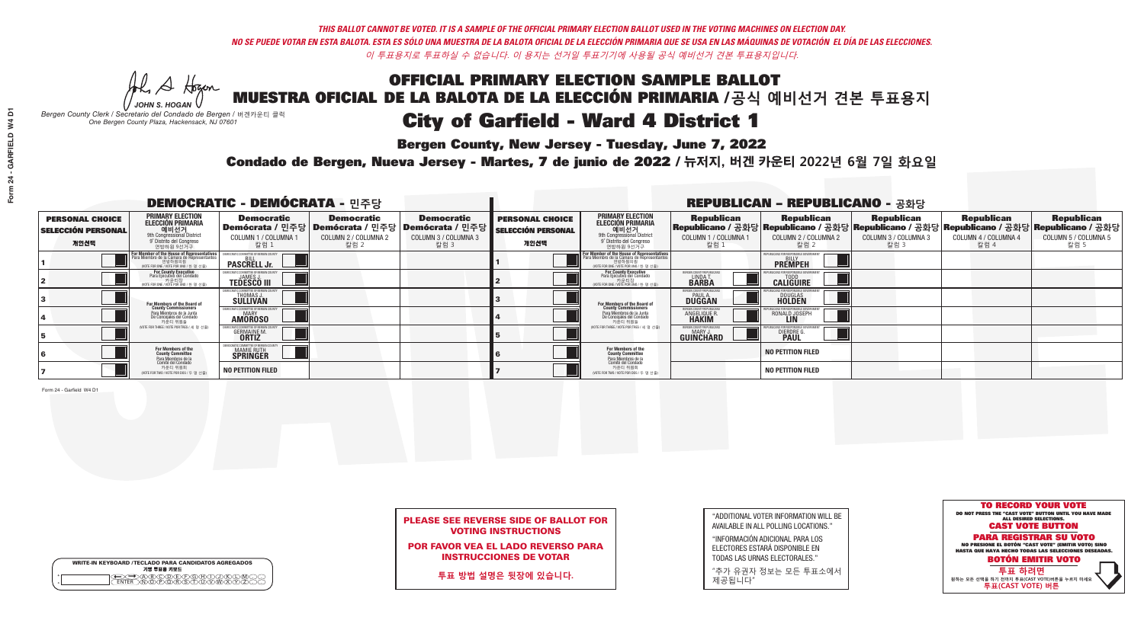# OFFICIAL PRIMARY ELECTION SAMPLE BALLOT MUESTRA OFICIAL DE LA BALOTA DE LA ELECCIÓN PRIMARIA /**공식 예비선거 견본 투표용지** City of Garfield - Ward 4 District 1

**Bergen County, New Jersey - Tuesday, June 7, 2022** 

A Hogan *JOHN S. HOGAN*

|         | <b>WRITE-IN KEYBOARD /TECLADO PARA CANDIDATOS AGREGADOS</b><br>기명 투표용 키보드 |
|---------|---------------------------------------------------------------------------|
| $\circ$ |                                                                           |

*Bergen County Clerk / Secretario del Condado de Bergen /* 버겐카운티 클럭 *One Bergen County Plaza, Hackensack, NJ 07601*

![](_page_9_Picture_18.jpeg)

## PLEASE SEE REVERSE SIDE OF BALLOT FOR VOTING INSTRUCTIONS

POR FAVOR VEA EL LADO REVERSO PARA INSTRUCCIONES DE VOTAR

**투표 방법 설명은 뒷장에 있습니다.**

| "ADDITIONAL VOTER INFORMATION WILL BE |
|---------------------------------------|
| AVAILABLE IN ALL POLLING LOCATIONS."  |
|                                       |

"INFORMACIÓN ADICIONAL PARA LOS ELECTORES ESTARÁ DISPONIBLE EN TODAS LAS URNAS ELECTORALES."

"추가 유권자 정보는 모든 투표소에서 제공됩니다"

Condado de Bergen, Nueva Jersey - Martes, 7 de junio de 2022 / 뉴저지, 버겐 카운티 2022년 6월 7일 화요일 *One Bergen County Plaza, Hackensack, NJ 07601*

| <b>DEMOCRATIC - DEMÓCRATA - 민주당</b>                         |                                                                                                                                        |                                                    |                                                   |                                                                                                              | <b>REPUBLICAN - REPUBLICANO - 공화당</b>                       |                                                                                                                                                             |                                                                      |                                                                                                                                                       |                                                   |                                                   |                                                   |  |
|-------------------------------------------------------------|----------------------------------------------------------------------------------------------------------------------------------------|----------------------------------------------------|---------------------------------------------------|--------------------------------------------------------------------------------------------------------------|-------------------------------------------------------------|-------------------------------------------------------------------------------------------------------------------------------------------------------------|----------------------------------------------------------------------|-------------------------------------------------------------------------------------------------------------------------------------------------------|---------------------------------------------------|---------------------------------------------------|---------------------------------------------------|--|
| <b>PERSONAL CHOICE</b><br><b>SELECCIÓN PERSONAL</b><br>개인선택 | <b>PRIMARY ELECTION</b><br>ELECCIÓN PRIMARIA<br>예비선거<br><sup>9th</sup> Congressional District<br>9° Distrito del Congreso<br>연방하원 9선거구 | <b>Democratic</b><br>COLUMN 1 / COLUMNA<br>칼럼 1    | <b>Democratic</b><br>COLUMN 2 / COLUMNA 2<br>칼럼 2 | <b>Democratic</b><br>  Demócrata / 민주당   Demócrata / 민주당   Demócrata / 민주당  <br>COLUMN 3 / COLUMNA 3<br>칼럼 3 | <b>PERSONAL CHOICE</b><br><b>SELECCIÓN PERSONAL</b><br>개인선택 | <b>PRIMARY ELECTION</b><br>ELECCIÓN PRIMARIA<br>예비선거<br><sup>9th</sup> Congressional District<br><sup>9'</sup> Distrito del Congreso<br>연방하원 9선거구           | <b>Republican</b><br>COLUMN 1 / COLUMNA 1<br>칼럼 1                    | <b>Republican</b><br>Republicano / 공화당 Republicano / 공화당 Republicano / 공화당 Republicano / 공화당 Republicano / 공화당<br>COLUMN 2 / COLUMNA 2<br><u>칼럼 2</u> | <b>Republican</b><br>COLUMN 3 / COLUMNA 3<br>칼럼 3 | <b>Republican</b><br>COLUMN 4 / COLUMNA 4<br>칼럼 4 | <b>Republican</b><br>COLUMN 5 / COLUMNA 5<br>칼럼 5 |  |
|                                                             | For Member of the House of Representatives<br>Para Miembro de la Cámara de Representantes                                              | COMMITTEE OF BERGEN COUN<br><b>PASCRELL Jr.</b>    |                                                   |                                                                                                              |                                                             | F <mark>or Member of the House of Representatives</mark><br>Para Miembro de la Cámara de Representantes<br>연방하원의원<br>(VOTE FOR ONE / VOTE POR UNO / 한 명 선출) |                                                                      | FPUBLICANS FOR RESPONSIBLE GOVERNMEN<br><b>PREMPEH</b>                                                                                                |                                                   |                                                   |                                                   |  |
|                                                             | For County Executive<br>Para Ejecutivo del Condado<br>VOTE FOR ONE / VOTE POR UNO / 한 명 선출)                                            | JAMES,<br><b>TEDESCO III</b>                       |                                                   |                                                                                                              |                                                             | For County Executive<br>Para Ejecutivo del Condado<br>가운티장<br>(VOTE FOR ONE / VOTE POR UNO / 한 명 선출)                                                        | ERGEN COUNTY REPUBLICA<br>LINDA T<br><b>BARBA</b>                    | <b>CALIGUIRE</b>                                                                                                                                      |                                                   |                                                   |                                                   |  |
|                                                             | For Members of the Board of<br>County Commissioners                                                                                    | OCRATIC COMMITTEE OF BERGEN CO<br>THOMAS J.        |                                                   |                                                                                                              |                                                             | <b>For Members of the Board of County Commissioners</b>                                                                                                     | BERGEN COUNTY REPUBLICAN<br><b>DUGGAN</b>                            | DOUGLAS<br><b>HOLDEN</b>                                                                                                                              |                                                   |                                                   |                                                   |  |
|                                                             | Para Miembros de la Junta<br>De Concejales del Condado<br>카우티 위원들                                                                      | ICRATIC COMMITTEE OF BERGEN COUN<br><b>AMOROSO</b> |                                                   |                                                                                                              |                                                             | Para Miembros de la Junta<br>De Concejales del Condado<br>카운티 위원들                                                                                           | <b>ERGEN COUNTY REPUBLICAN</b><br><b>ANGELIQUE R</b><br><b>HAKIM</b> | RONALD JOSEPH                                                                                                                                         |                                                   |                                                   |                                                   |  |
|                                                             | (VOTE FOR THREE / VOTE POR TRES / 세 명 선출)                                                                                              | <b>GERMAINE M.</b><br><b>ORTIZ</b>                 |                                                   |                                                                                                              |                                                             | (VOTE FOR THREE / VOTE POR TRES / 세 명 선출)                                                                                                                   | BERGEN COUNTY REPUBLICAN<br>MARY J<br><b>GUINCHARD</b>               | <b>DIERDRE</b>                                                                                                                                        |                                                   |                                                   |                                                   |  |
|                                                             | For Members of the<br>County Committee<br>Para Miembros de la                                                                          | MOCRATIC COMMITTEE OF BERGEN<br>MAMIE RUTH         |                                                   |                                                                                                              |                                                             | <b>For Members of the<br/>County Committee</b>                                                                                                              |                                                                      | <b>NO PETITION FILED</b>                                                                                                                              |                                                   |                                                   |                                                   |  |
|                                                             | Comité del Condado<br>카운티 위원회<br>(VOTE FOR TWO / VOTE POR DOS / 두 명 선출)                                                                | <b>NO PETITION FILED</b>                           |                                                   |                                                                                                              |                                                             | Para Miembros de la<br>Comité del Condado<br>카운티 위원회<br>(VOTE FOR TWO / VOTE POR DOS / 두 명 선출)                                                              |                                                                      | <b>NO PETITION FILED</b>                                                                                                                              |                                                   |                                                   |                                                   |  |

Form 24 - Garfield W4 D1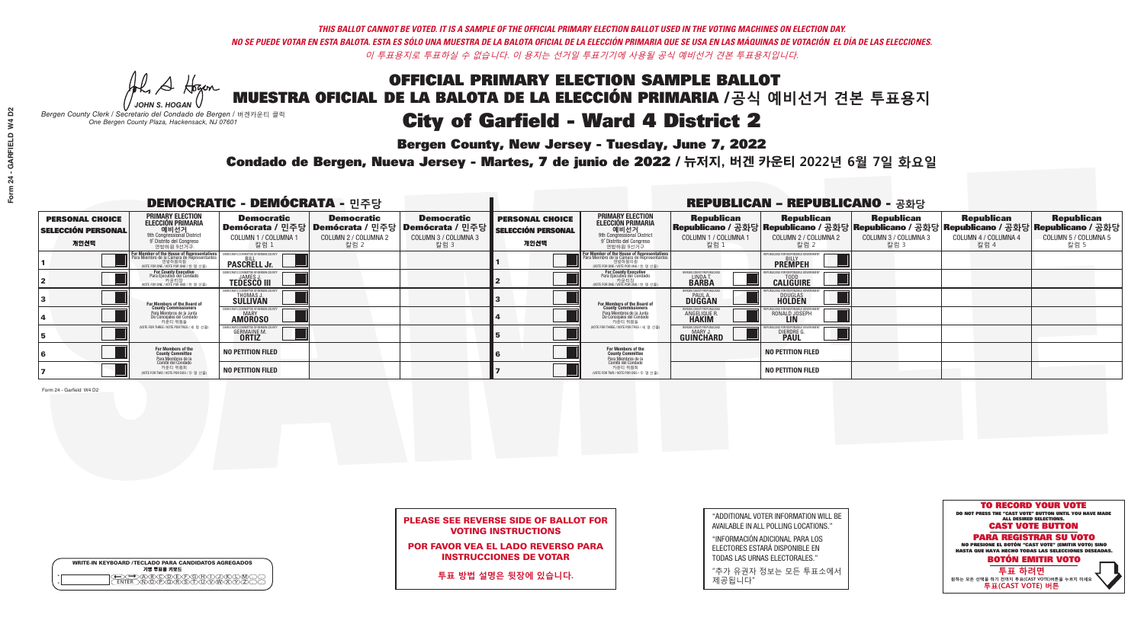## OFFICIAL PRIMARY ELECTION SAMPLE BALLOT MUESTRA OFICIAL DE LA BALOTA DE LA ELECCIÓN PRIMARIA /**공식 예비선거 견본 투표용지** City of Garfield - Ward 4 District 2

**Bergen County, New Jersey - Tuesday, June 7, 2022** 

A Hogan *JOHN S. HOGAN*

|              | <b>WRITE-IN KEYBOARD /TECLADO PARA CANDIDATOS AGREGADOS</b><br>기명 투표용 키보드 |
|--------------|---------------------------------------------------------------------------|
| ٥<br>$\circ$ | XO(D)(E)(F)(G)(H)(                                                        |

*Bergen County Clerk / Secretario del Condado de Bergen /* 버겐카운티 클럭 *One Bergen County Plaza, Hackensack, NJ 07601*

![](_page_10_Picture_18.jpeg)

## PLEASE SEE REVERSE SIDE OF BALLOT FOR VOTING INSTRUCTIONS

POR FAVOR VEA EL LADO REVERSO PARA INSTRUCCIONES DE VOTAR

**투표 방법 설명은 뒷장에 있습니다.**

| "ADDITIONAL VOTER INFORMATION WILL BE |
|---------------------------------------|
| AVAILABLE IN ALL POLLING LOCATIONS."  |
|                                       |

"INFORMACIÓN ADICIONAL PARA LOS ELECTORES ESTARÁ DISPONIBLE EN TODAS LAS URNAS ELECTORALES."

"추가 유권자 정보는 모든 투표소에서 제공됩니다"

Condado de Bergen, Nueva Jersey - Martes, 7 de junio de 2022 / 뉴저지, 버겐 카운티 2022년 6월 7일 화요일 *One Bergen County Plaza, Hackensack, NJ 07601*

| <b>DEMOCRATIC - DEMÓCRATA - 민주당</b>                         |                                                                                                                                                  |                                                              |                                                   |                                                                                                              | <b>REPUBLICAN - REPUBLICANO - 공화당</b>                       |                                                                                                                                                  |                                                             |                                                                                                                                                   |                                                   |                                                   |                                                   |  |
|-------------------------------------------------------------|--------------------------------------------------------------------------------------------------------------------------------------------------|--------------------------------------------------------------|---------------------------------------------------|--------------------------------------------------------------------------------------------------------------|-------------------------------------------------------------|--------------------------------------------------------------------------------------------------------------------------------------------------|-------------------------------------------------------------|---------------------------------------------------------------------------------------------------------------------------------------------------|---------------------------------------------------|---------------------------------------------------|---------------------------------------------------|--|
| <b>PERSONAL CHOICE</b><br><b>SELECCIÓN PERSONAL</b><br>개인선택 | <b>PRIMARY ELECTION</b><br>ELECCIÓN PRIMARIA<br>예비선거<br><sup>9th</sup> Congressional District<br>9° Distrito del Congreso<br>연방하원 9선거구           | <b>Democratic</b><br>COLUMN 1 / COLUMNA<br>칼럼 1              | <b>Democratic</b><br>COLUMN 2 / COLUMNA 2<br>칼럼 2 | <b>Democratic</b><br>  Demócrata / 민주당   Demócrata / 민주당   Demócrata / 민주당  <br>COLUMN 3 / COLUMNA 3<br>칼럼 3 | <b>PERSONAL CHOICE</b><br><b>SELECCIÓN PERSONAL</b><br>개인선택 | <b>PRIMARY ELECTION</b><br>ELECCIÓN PRIMARIA<br>9th Congressional District<br>9° Distrito del Congreso<br>연방하원 9선거구                              | <b>Republican</b><br>COLUMN 1 / COLUMNA 1<br>칼럼 1           | <b>Republican</b><br> Republicano / 공화당 Republicano / 공화당 Republicano / 공화당 Republicano / 공화당 Republicano / 공화당 <br>COLUMN 2 / COLUMNA 2<br>-칼럼 2 | <b>Republican</b><br>COLUMN 3 / COLUMNA 3<br>칼럼 3 | <b>Republican</b><br>COLUMN 4 / COLUMNA 4<br>칼럼 4 | <b>Republican</b><br>COLUMN 5 / COLUMNA 5<br>칼럼 5 |  |
|                                                             | F <mark>or Member of the House of Representatives</mark><br>Para Miembro de la Cámara de Representantes<br>WOTE FOR ONE / VOTE POR UNO / 한 명 선출) | COMMITTEE OF BERGEN CO<br><b>PASCRELL Jr.</b>                |                                                   |                                                                                                              |                                                             | F <mark>or Member of the House of Representatives</mark><br>Para Miembro de la Cámara de Representantes<br>NOTE FOR ONE / VOTE POR UNO / 한 명 선출) |                                                             | FPUBLICANS FOR RESPONSIBLE GOVERNMEN<br><b>PREMPEH</b>                                                                                            |                                                   |                                                   |                                                   |  |
|                                                             | For County Executive<br>Para Ejecutivo del Condado<br>vOTE FOR ONE / VOTE POR UNO / 한 명 선출)                                                      | JAMES,<br><b>TEDESCO III</b>                                 |                                                   |                                                                                                              |                                                             | For County Executive<br>Para Ejecutivo del Condado<br>가운티장<br>(VOTE FOR ONE / VOTE POR UNO / 한 명 선출)                                             | ERGEN COUNTY REPUBLICA<br>LINDA T<br><b>BARBA</b>           | <b>CALIGUIRE</b>                                                                                                                                  |                                                   |                                                   |                                                   |  |
|                                                             | For Members of the Board of<br>County Commissioners                                                                                              | <b>THOMAS J.</b><br><b>SULLIVAN</b>                          |                                                   |                                                                                                              |                                                             | <b>For Members of the Board of County Commissioners</b>                                                                                          | BERGEN COUNTY REPUBLICAN<br><b>PAUL A.</b><br><b>DUGGAN</b> | <b>DOUGLAS</b>                                                                                                                                    |                                                   |                                                   |                                                   |  |
|                                                             | Para Miembros de la Junta<br>De Concejales del Condado<br>카운티 위원들                                                                                | IC COMMITTEE OF RERGEN COUN<br><b>MARY</b><br><b>AMOROSO</b> |                                                   |                                                                                                              |                                                             | Para Miembros de la Junta<br>De Concejales del Condado<br>카운티 위원들                                                                                | <b>FRGEN COUNTY REPUBLICAN</b><br>ANGELIQUE R               | RONALD JOSEPH<br><b>LIN</b>                                                                                                                       |                                                   |                                                   |                                                   |  |
|                                                             | (VOTE FOR THREE / VOTE POR TRES / 세 명 선출)                                                                                                        | <b>GERMAINE M.</b><br><b>ORTIZ</b>                           |                                                   |                                                                                                              |                                                             | (VOTE FOR THREE / VOTE POR TRES / 세 명 선출)                                                                                                        | BERGEN COUNTY REPUBLICANS<br>MARY J.<br>GUINCHARD           | <b>DIERDRE</b>                                                                                                                                    |                                                   |                                                   |                                                   |  |
|                                                             | For Members of the<br>County Committee<br>Para Miembros de la<br>Comité del Condado                                                              | <b>NO PETITION FILED</b>                                     |                                                   |                                                                                                              |                                                             | For Members of the<br>County Committee<br>Para Miembros de la<br>Comité del Condado                                                              |                                                             | <b>NO PETITION FILED</b>                                                                                                                          |                                                   |                                                   |                                                   |  |
|                                                             | 카운티 위원회<br>(VOTE FOR TWO / VOTE POR DOS / 두 명 선출)                                                                                                | <b>NO PETITION FILED</b>                                     |                                                   |                                                                                                              |                                                             | 카운티 위원회<br>(VOTE FOR TWO / VOTE POR DOS / 두 명 선출)                                                                                                |                                                             | <b>NO PETITION FILED</b>                                                                                                                          |                                                   |                                                   |                                                   |  |

Form 24 - Garfield W4 D2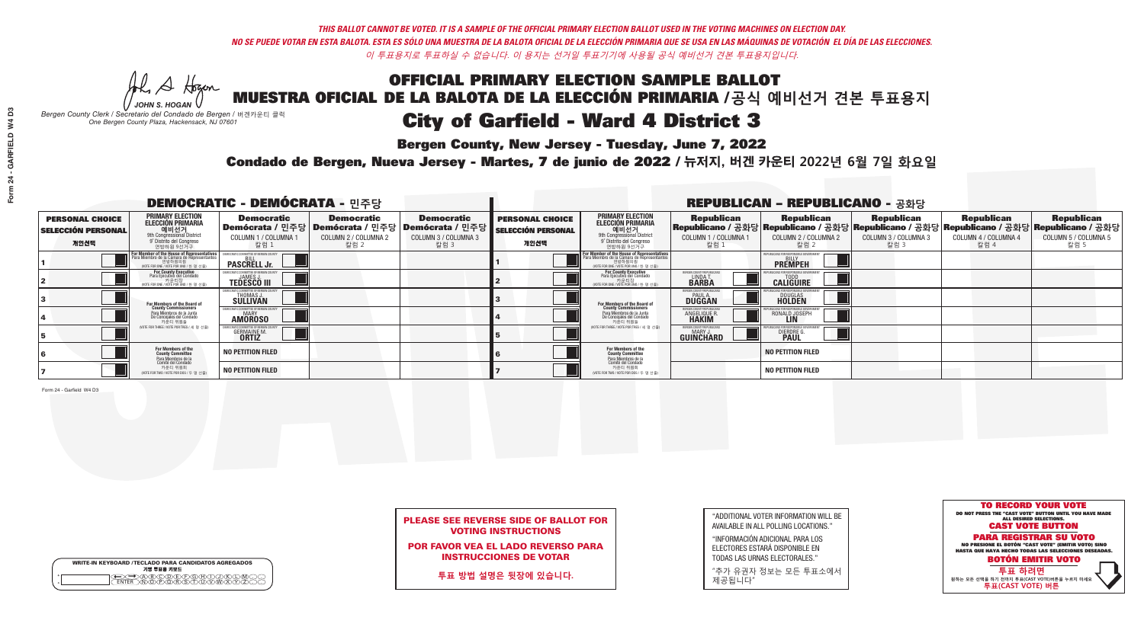## OFFICIAL PRIMARY ELECTION SAMPLE BALLOT MUESTRA OFICIAL DE LA BALOTA DE LA ELECCIÓN PRIMARIA /**공식 예비선거 견본 투표용지** City of Garfield - Ward 4 District 3

**Bergen County, New Jersey - Tuesday, June 7, 2022** 

A Hogan *JOHN S. HOGAN*

|                    | <b>WRITE-IN KEYBOARD /TECLADO PARA CANDIDATOS AGREGADOS</b><br>기명 투표용 키보드 |  |
|--------------------|---------------------------------------------------------------------------|--|
| $\circ$<br>$\circ$ | YEYEYAYAY<br>$\delta \infty$                                              |  |

*Bergen County Clerk / Secretario del Condado de Bergen /* 버겐카운티 클럭 *One Bergen County Plaza, Hackensack, NJ 07601*

![](_page_11_Picture_18.jpeg)

### PLEASE SEE REVERSE SIDE OF BALLOT FOR VOTING INSTRUCTIONS

POR FAVOR VEA EL LADO REVERSO PARA INSTRUCCIONES DE VOTAR

**투표 방법 설명은 뒷장에 있습니다.**

| "ADDITIONAL VOTER INFORMATION WILL BE |
|---------------------------------------|
| AVAILABLE IN ALL POLLING LOCATIONS."  |
|                                       |

"INFORMACIÓN ADICIONAL PARA LOS ELECTORES ESTARÁ DISPONIBLE EN TODAS LAS URNAS ELECTORALES."

"추가 유권자 정보는 모든 투표소에서 제공됩니다"

Condado de Bergen, Nueva Jersey - Martes, 7 de junio de 2022 / 뉴저지, 버겐 카운티 2022년 6월 7일 화요일 *One Bergen County Plaza, Hackensack, NJ 07601*

| <b>DEMOCRATIC - DEMÓCRATA - 민주당</b>                         |                                                                                                                                        |                                                    |                                                   |                                                                                                                    | <b>REPUBLICAN - REPUBLICANO - 공화당</b>                       |                                                                                                                                                             |                                                          |                                                                                                                                                |                                                   |                                                   |                                                   |  |
|-------------------------------------------------------------|----------------------------------------------------------------------------------------------------------------------------------------|----------------------------------------------------|---------------------------------------------------|--------------------------------------------------------------------------------------------------------------------|-------------------------------------------------------------|-------------------------------------------------------------------------------------------------------------------------------------------------------------|----------------------------------------------------------|------------------------------------------------------------------------------------------------------------------------------------------------|---------------------------------------------------|---------------------------------------------------|---------------------------------------------------|--|
| <b>PERSONAL CHOICE</b><br><b>SELECCIÓN PERSONAL</b><br>개인선택 | <b>PRIMARY ELECTION</b><br>ELECCIÓN PRIMARIA<br>예비선거<br><sup>9th</sup> Congressional District<br>9° Distrito del Congreso<br>연방하원 9선거구 | <b>Democratic</b><br>COLUMN 1 / COLUMNA<br>칼럼 1    | <b>Democratic</b><br>COLUMN 2 / COLUMNA 2<br>칼럼 2 | <b>Democratic</b><br>  Demócrata / 민주당   Demócrata / 민주당   Demócrata / 민주당 <br><b>COLUMN 3 / COLUMNA 3</b><br>칼럼 3 | <b>PERSONAL CHOICE</b><br><b>SELECCIÓN PERSONAL</b><br>개인선택 | <b>PRIMARY ELECTION</b><br>ELECCIÓN PRIMARIA<br>애비선거<br><sup>애</sup> Congressional District<br>º Distrito del Congreso<br>연방하원 9선거구                         | <b>Republican</b><br>COLUMN 1 / COLUMNA 1<br>칼럼 1        | <b>Republican</b><br>Republicano / 공화당 Republicano / 공화당 Republicano / 공화당 Republicano / 공화당 Republicano / 공화당<br>COLUMN 2 / COLUMNA 2<br>칼럼 2 | <b>Republican</b><br>COLUMN 3 / COLUMNA 3<br>칼럼 3 | <b>Republican</b><br>COLUMN 4 / COLUMNA 4<br>칼럼 4 | <b>Republican</b><br>COLUMN 5 / COLUMNA 5<br>칼럼 5 |  |
|                                                             | For Member of the House of Representatives<br>Para Miembro de la Cámara de Representantes                                              | COMMITTEE OF BERGEN COUN<br><b>PASCRELL Jr.</b>    |                                                   |                                                                                                                    |                                                             | F <mark>or Member of the House of Representatives</mark><br>Para Miembro de la Cámara de Representantes<br>연방하원의원<br>(VOTE FOR ONE / VOTE POR UNO / 한 명 선출) |                                                          | <b>FPUBLICANS FOR RESPONSIBLE GOVERNMEN</b><br><b>PREMPEH</b>                                                                                  |                                                   |                                                   |                                                   |  |
|                                                             | For County Executive<br>Para Ejecutivo del Condado<br>VOTE FOR ONE / VOTE POR UNO / 한 명 선출)                                            | <b>JAMES</b><br><b>TEDESCO III</b>                 |                                                   |                                                                                                                    |                                                             | For County Executive<br>Para Ejecutivo del Condado<br>. 카운티장<br>(VOTE FOR ONE / VOTE POR UNO / 한 명 선출)                                                      | BERGEN COUNTY REPUBLICA<br><b>LINDAT</b><br><b>BARBA</b> | <b>CALIGUIRE</b>                                                                                                                               |                                                   |                                                   |                                                   |  |
|                                                             | <b>For Members of the Board of<br/>County Commissioners</b>                                                                            | THOMAS J.                                          |                                                   |                                                                                                                    |                                                             | <b>For Members of the Board of County Commissioners</b>                                                                                                     | BERGEN COUNTY REPUBLICAN<br><b>DUGGAN</b>                | <b>DOUGLAS</b><br><b>HOLDEN</b>                                                                                                                |                                                   |                                                   |                                                   |  |
|                                                             | Para Miembros de la Junta<br>De Concejales del Condado<br>카우티 위원들                                                                      | ICRATIC COMMITTEE OF BERGEN COUN<br><b>AMOROSO</b> |                                                   |                                                                                                                    |                                                             | Para Miembros de la Junta<br>De Concejales del Condado<br>카운티 위원들                                                                                           | ERGEN COUNTY REPUBLICAN<br><b>ANGELIQUE F</b>            | RONALD JOSEPH                                                                                                                                  |                                                   |                                                   |                                                   |  |
|                                                             | (VOTE FOR THREE / VOTE POR TRES / 세 명 선출)                                                                                              | <b>GERMAINE M.</b><br><b>ORTIZ</b>                 |                                                   |                                                                                                                    |                                                             | (VOTE FOR THREE / VOTE POR TRES / 세 명 선출)                                                                                                                   | ERGEN COUNTY REPUBLICAN<br>MARY J<br><b>GUINCHARD</b>    | <b>DIERDRE G<br/>PAUL</b>                                                                                                                      |                                                   |                                                   |                                                   |  |
|                                                             | For Members of the<br>County Committee<br>Para Miembros de la<br>Comité del Condado                                                    | <b>NO PETITION FILED</b>                           |                                                   |                                                                                                                    |                                                             | For Members of the<br>County Committee                                                                                                                      |                                                          | <b>NO PETITION FILED</b>                                                                                                                       |                                                   |                                                   |                                                   |  |
|                                                             | 카운티 위원회<br>NOTE FOR TWO / VOTE POR DOS / 두 명 선출)                                                                                       | <b>NO PETITION FILED</b>                           |                                                   |                                                                                                                    |                                                             | Para Miembros de la<br>Comité del Condado<br>카운티 위원회<br>(VOTE FOR TWO / VOTE POR DOS / 두 명 선출)                                                              |                                                          | <b>NO PETITION FILED</b>                                                                                                                       |                                                   |                                                   |                                                   |  |

Form 24 - Garfield W4 D3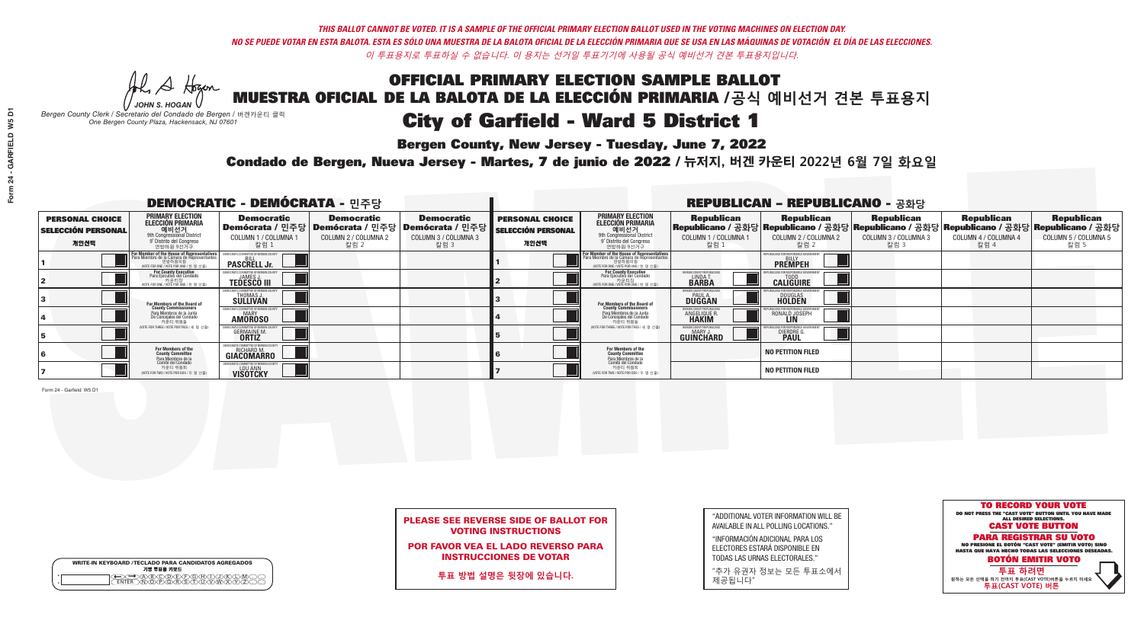# OFFICIAL PRIMARY ELECTION SAMPLE BALLOT MUESTRA OFICIAL DE LA BALOTA DE LA ELECCIÓN PRIMARIA /**공식 예비선거 견본 투표용지** City of Garfield - Ward 5 District 1

**Bergen County, New Jersey - Tuesday, June 7, 2022** 

A Hogan *JOHN S. HOGAN*

| <b>WRITE-IN KEYBOARD /TECLADO PARA CANDIDATOS AGREGADOS</b><br>기명 투표용 키보드 |
|---------------------------------------------------------------------------|
| (B)C)D(E)(F)(G)(H)(T)<br><u>ነቅለጀለጅ አ</u> ገ                                |

*Bergen County Clerk / Secretario del Condado de Bergen /* 버겐카운티 클럭 *One Bergen County Plaza, Hackensack, NJ 07601*

![](_page_12_Picture_18.jpeg)

### PLEASE SEE REVERSE SIDE OF BALLOT FOR VOTING INSTRUCTIONS

POR FAVOR VEA EL LADO REVERSO PARA INSTRUCCIONES DE VOTAR

**투표 방법 설명은 뒷장에 있습니다.**

| "ADDITIONAL VOTER INFORMATION WILL BE |
|---------------------------------------|
| AVAILABLE IN ALL POLLING LOCATIONS."  |
|                                       |

"INFORMACIÓN ADICIONAL PARA LOS ELECTORES ESTARÁ DISPONIBLE EN TODAS LAS URNAS ELECTORALES."

"추가 유권자 정보는 모든 투표소에서 제공됩니다"

Condado de Bergen, Nueva Jersey - Martes, 7 de junio de 2022 / 뉴저지, 버겐 카운티 2022년 6월 7일 화요일 *One Bergen County Plaza, Hackensack, NJ 07601*

|                                                             |                                                                                                                                                             | <b>DEMOCRATIC - DEMÓCRATA - 민주당</b>                               |                                                   |                                                                                                            | <b>REPUBLICAN - REPUBLICANO - 공화당</b>                       |                                                                                                                                                             |                                                             |                                                                                                                                                |                                                   |                                                   |                                                   |  |
|-------------------------------------------------------------|-------------------------------------------------------------------------------------------------------------------------------------------------------------|-------------------------------------------------------------------|---------------------------------------------------|------------------------------------------------------------------------------------------------------------|-------------------------------------------------------------|-------------------------------------------------------------------------------------------------------------------------------------------------------------|-------------------------------------------------------------|------------------------------------------------------------------------------------------------------------------------------------------------|---------------------------------------------------|---------------------------------------------------|---------------------------------------------------|--|
| <b>PERSONAL CHOICE</b><br><b>SELECCIÓN PERSONAL</b><br>개인선택 | <b>PRIMARY ELECTION</b><br><b>ELECCIÓN PRIMARIA</b><br>예비선거<br><sup>9th</sup> Congressional District<br><sup>9</sup> Distrito del Congreso<br>연방하원 9선거구     | <b>Democratic</b><br>COLUMN 1 / COLUMNA ·<br>칼럼 1                 | <b>Democratic</b><br>COLUMN 2 / COLUMNA 2<br>칼럼 2 | <b>Democratic</b><br>  Demócrata / 민주당   Demócrata / 민주당   Demócrata / 민주당<br>COLUMN 3 / COLUMNA 3<br>칼럼 3 | <b>PERSONAL CHOICE</b><br><b>SELECCIÓN PERSONAL</b><br>개인선택 | <b>PRIMARY ELECTION</b><br>ELECCIÓN PRIMARIA<br>예비선거<br><sup>9th</sup> Congressional District<br><sup>9'</sup> Distrito del Congreso<br>연방하원 9선거구           | <b>Republican</b><br>COLUMN 1 / COLUMNA 1<br>칼럼 1           | <b>Republican</b><br>Republicano / 공화당 Republicano / 공화당 Republicano / 공화당 Republicano / 공화당 Republicano / 공화당<br>COLUMN 2 / COLUMNA 2<br>칼럼 2 | <b>Republican</b><br>COLUMN 3 / COLUMNA 3<br>칼럼 3 | <b>Republican</b><br>COLUMN 4 / COLUMNA 4<br>칼럼 4 | <b>Republican</b><br>COLUMN 5 / COLUMNA 5<br>칼럼 5 |  |
|                                                             | F <mark>or Member of the House of Representatives</mark><br>Para Miembro de la Cámara de Representantes<br>연방하원의원<br>(VOTE FOR ONE / VOTE POR UNO / 한 명 선출) | OCRATIC COMMITTEE OF BERGEN CI<br><b>PASCRELL Jr.</b>             |                                                   |                                                                                                            |                                                             | F <mark>or Member of the House of Representatives</mark><br>Para Miembro de la Cámara de Representantes<br>연방하원의원<br>(VOTE FOR ONE / VOTE POR UNO / 한 명 선출) |                                                             | <b>FPUBLICANS FOR RESPONSIBLE GOVERNMEN</b><br><b>PREMPEH</b>                                                                                  |                                                   |                                                   |                                                   |  |
|                                                             | For County Executive<br>Para Ejecutivo del Condado<br>VOTE FOR ONE / VOTE POR UNO / 한 명 선출)                                                                 | JAMES.<br><b>TEDESCO III</b>                                      |                                                   |                                                                                                            |                                                             | For County Executive<br>Para Ejecutivo del Condado<br>- 카운티장<br>- 카운티장<br>^^OTE FOR ONE / VOTE POR UNO / 한 명 선춘                                             | BERGEN COUNTY REPUBLICA<br>LINDA T.                         | <b>CALIGUIRE</b>                                                                                                                               |                                                   |                                                   |                                                   |  |
|                                                             | For Members of the Board of<br>County Commissioners                                                                                                         | <b>THOMAS J.</b><br><b>SULLIVAN</b>                               |                                                   |                                                                                                            |                                                             | For Members of the Board of<br>County Commissioners                                                                                                         | BERGEN COUNTY REPUBLICAN<br><b>PAUL A.</b><br><b>DUGGAN</b> | <b>DOUGLAS</b><br><b>HOLDEN</b>                                                                                                                |                                                   |                                                   |                                                   |  |
|                                                             | Para Miembros de la Junta<br>De Concejales del Condado<br>카운티 위원들                                                                                           | CRATIC COMMITTEE OF BERGEN COUNT<br><b>AMOROSO</b>                |                                                   |                                                                                                            |                                                             | Para Miembros de la Junta<br>De Concejales del Condado<br>카운티 위원들                                                                                           | ERGEN COUNTY REPUBLICAN<br>ANGELIQUE R.<br><b>HAKIM</b>     | RONALD JOSEPH                                                                                                                                  |                                                   |                                                   |                                                   |  |
|                                                             | (VOTE FOR THREE / VOTE POR TRES / 세 명 선출)                                                                                                                   | <b>GERMAINE M.</b><br><b>ORTIZ</b>                                |                                                   |                                                                                                            |                                                             | (VOTE FOR THREE / VOTE POR TRES / 세 명 선출)                                                                                                                   | ERGEN COUNTY REPUBLICAN<br><b>GUINCHARD</b>                 | <b>DIERDRE G</b><br><b>PAUL</b>                                                                                                                |                                                   |                                                   |                                                   |  |
|                                                             | For Members of the<br>County Committee<br>Para Miembros de la<br>Comité del Condado                                                                         | DEMOCRATIC COMMITTEE OF BERGEN COUNTY<br>RICHARD M.<br>GIACOMARRO |                                                   |                                                                                                            |                                                             | <b>For Members of the<br/>County Committee</b><br>Para Miembros de la<br>Comité del Condado                                                                 |                                                             | <b>NO PETITION FILED</b>                                                                                                                       |                                                   |                                                   |                                                   |  |
|                                                             | 카운티 위원회<br>(VOTE FOR TWO / VOTE POR DOS / 두 명 선출)                                                                                                           | <b>EMOCRATIC COMMITTEE OF BERGEN O</b><br><b>VISOTCKY</b>         |                                                   |                                                                                                            |                                                             | 카운티 위원회<br>(VOTE FOR TWO / VOTE POR DOS / 두 명 선출)                                                                                                           |                                                             | <b>NO PETITION FILED</b>                                                                                                                       |                                                   |                                                   |                                                   |  |

Form 24 - Garfield W5 D1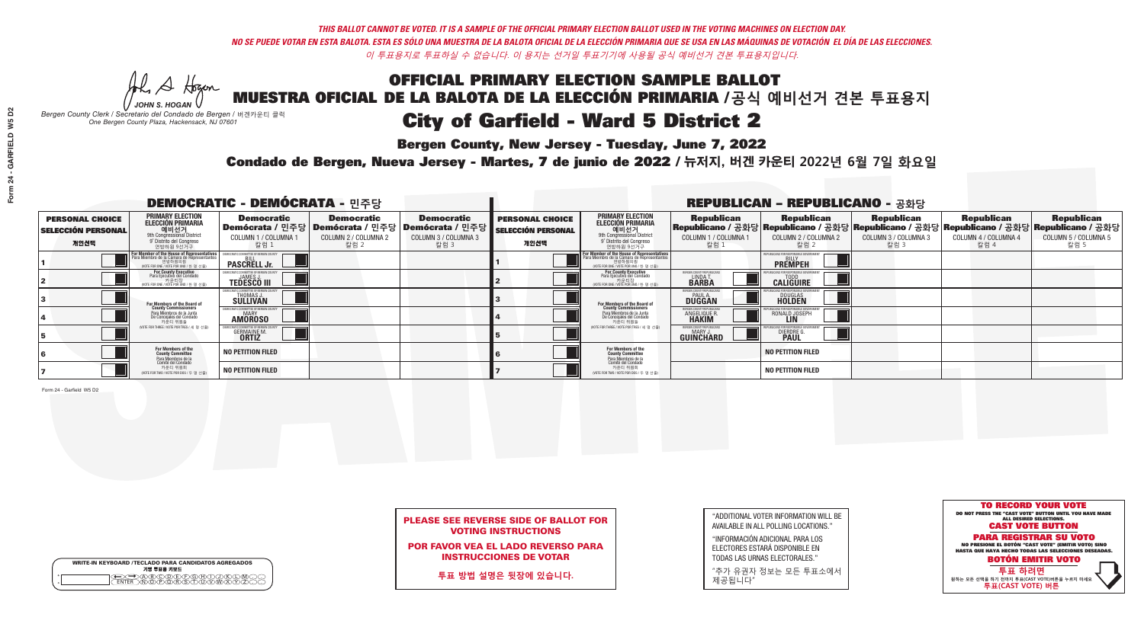## OFFICIAL PRIMARY ELECTION SAMPLE BALLOT MUESTRA OFICIAL DE LA BALOTA DE LA ELECCIÓN PRIMARIA /**공식 예비선거 견본 투표용지** City of Garfield - Ward 5 District 2

**Bergen County, New Jersey - Tuesday, June 7, 2022** 

A Hogan *JOHN S. HOGAN*

|         | <b>WRITE-IN KEYBOARD /TECLADO PARA CANDIDATOS AGREGADOS</b><br>기명 투표용 키보드 |  |
|---------|---------------------------------------------------------------------------|--|
| $\circ$ |                                                                           |  |

*Bergen County Clerk / Secretario del Condado de Bergen /* 버겐카운티 클럭 *One Bergen County Plaza, Hackensack, NJ 07601*

![](_page_13_Picture_18.jpeg)

### PLEASE SEE REVERSE SIDE OF BALLOT FOR VOTING INSTRUCTIONS

POR FAVOR VEA EL LADO REVERSO PARA INSTRUCCIONES DE VOTAR

**투표 방법 설명은 뒷장에 있습니다.**

| "ADDITIONAL VOTER INFORMATION WILL BE |
|---------------------------------------|
| AVAILABLE IN ALL POLLING LOCATIONS."  |
|                                       |

"INFORMACIÓN ADICIONAL PARA LOS ELECTORES ESTARÁ DISPONIBLE EN TODAS LAS URNAS ELECTORALES."

"추가 유권자 정보는 모든 투표소에서 제공됩니다"

Condado de Bergen, Nueva Jersey - Martes, 7 de junio de 2022 / 뉴저지, 버겐 카운티 2022년 6월 7일 화요일 *One Bergen County Plaza, Hackensack, NJ 07601*

|                                                             |                                                                                                                            | <b>DEMOCRATIC - DEMÓCRATA - 민주당</b>                           |                                                   |                                                                                                                   | <b>REPUBLICAN - REPUBLICANO - 공화당</b>                       |                                                                                                                                                   |                                                               |                                                                                                                                                |                                                   |                                                   |                                                   |  |
|-------------------------------------------------------------|----------------------------------------------------------------------------------------------------------------------------|---------------------------------------------------------------|---------------------------------------------------|-------------------------------------------------------------------------------------------------------------------|-------------------------------------------------------------|---------------------------------------------------------------------------------------------------------------------------------------------------|---------------------------------------------------------------|------------------------------------------------------------------------------------------------------------------------------------------------|---------------------------------------------------|---------------------------------------------------|---------------------------------------------------|--|
| <b>PERSONAL CHOICE</b><br><b>SELECCIÓN PERSONAL</b><br>개인선택 | <b>PRIMARY ELECTION</b><br>ELECCIÓN PRIMARIA<br>에비선거<br><sup>애비선거</sup><br><sup>9</sup> Distrite del Congreso<br>연방하원 9선거구 | <b>Democratic</b><br>COLUMN 1 / COLUMNA<br>칼럼 1               | <b>Democratic</b><br>COLUMN 2 / COLUMNA 2<br>칼럼 2 | <b>Democratic</b><br>  Demócrata / 민주당   Demócrata / 민주당   Demócrata / 민주당<br><b>COLUMN 3 / COLUMNA 3</b><br>칼럼 3 | <b>PERSONAL CHOICE</b><br><b>SELECCIÓN PERSONAL</b><br>개인선택 | <b>PRIMARY ELECTION</b><br>ELECCIÓN PRIMARIA<br>에비선거<br><sup>9th</sup> Congressional District<br><sup>9'</sup> Distrito del Congreso<br>연방하원 9선거구 | <b>Republican</b><br>COLUMN 1 / COLUMNA 1<br>칼럼 1             | <b>Republican</b><br>Republicano / 공화당 Republicano / 공화당 Republicano / 공화당 Republicano / 공화당 Republicano / 공화당<br>COLUMN 2 / COLUMNA 2<br>칼럼 2 | <b>Republican</b><br>COLUMN 3 / COLUMNA 3<br>칼럼 3 | <b>Republican</b><br>COLUMN 4 / COLUMNA 4<br>칼럼 4 | <b>Republican</b><br>COLUMN 5 / COLUMNA 5<br>칼럼 5 |  |
|                                                             | F <mark>or Member of the House of Representatives</mark><br>Para Miembro de la Cámara de Representantes                    | DEMOCRATIC COMMITTEE OF BERGEN COUP<br><b>PASCRELL Jr.</b>    |                                                   |                                                                                                                   |                                                             | F <mark>or Member of the House of Representatives</mark><br>Para Miembro de la Cámara de Representantes<br>(VOTE FOR ONE / VOTE POR UNO / 한 명 선출) |                                                               | FPUBLICANS FOR RESPONSIBLE GOVERNMEN<br><b>PREMPEH</b>                                                                                         |                                                   |                                                   |                                                   |  |
|                                                             | For County Executive<br>Para Ejecutivo del Condado<br>가운티장<br>VOTE FOR ONE / VOTE POR UNO / 한 명 선출)                        | <b>JAMES</b><br><b>TEDESCO III</b>                            |                                                   |                                                                                                                   |                                                             | For County Executive<br>Para Ejecutivo del Condado<br>7 카운티장<br>(VOTE FOR ONE / VOTE POR UNO / 한 명 선출)                                            | ERGEN COUNTY REPUBLICA<br><b>LINDAT</b><br><b>BARBA</b>       | <b>CALIGUIRE</b>                                                                                                                               |                                                   |                                                   |                                                   |  |
|                                                             | For Members of the Board of<br>County Commissioners                                                                        | <b>THOMAS J.</b><br><b>SULLIVAN</b>                           |                                                   |                                                                                                                   |                                                             | <b>For Members of the Board of County Commissioners</b>                                                                                           | ERGEN COUNTY REPUBLICAN<br><b>PAUL A.</b><br><b>DUGGAN</b>    | <b>DOUGLAS</b>                                                                                                                                 |                                                   |                                                   |                                                   |  |
|                                                             | Para Miembros de la Junta<br>De Concejales del Condado<br>카운티 위원들                                                          | IC COMMITTEE OF RERGEN COLIN<br><b>MARY</b><br><b>AMOROSO</b> |                                                   |                                                                                                                   |                                                             | Para Miembros de la Junta<br>De Concejales del Condado<br>카운티 위원들                                                                                 | ERGEN COUNTY REPUBLICAN<br><b>ANGELIQUE F</b>                 | RONALD JOSEPH                                                                                                                                  |                                                   |                                                   |                                                   |  |
|                                                             | (VOTE FOR THREE / VOTE POR TRES / 세 명 선출)                                                                                  | <b>GERMAINE M.</b><br><b>ORTIZ</b>                            |                                                   |                                                                                                                   |                                                             | (VOTE FOR THREE / VOTE POR TRES / 세 명 선출)                                                                                                         | <b>ERGEN COUNTY REPUBLICANS</b><br>MARY J<br><b>GUINCHARD</b> | <b>DIERDRE</b>                                                                                                                                 |                                                   |                                                   |                                                   |  |
|                                                             | For Members of the<br>County Committee<br>Para Miembros de la<br>Comité del Condado                                        | <b>NO PETITION FILED</b>                                      |                                                   |                                                                                                                   |                                                             | For Members of the<br>County Committee<br>Para Miembros de la<br>Comité del Condado                                                               |                                                               | <b>NO PETITION FILED</b>                                                                                                                       |                                                   |                                                   |                                                   |  |
|                                                             | 카운티 위원회<br>(VOTE FOR TWO / VOTE POR DOS / 두 명 선출)                                                                          | NO PETITION FILED                                             |                                                   |                                                                                                                   |                                                             | 카운티 위원회<br>(VOTE FOR TWO / VOTE POR DOS / 두 명 선출)                                                                                                 |                                                               | <b>NO PETITION FILED</b>                                                                                                                       |                                                   |                                                   |                                                   |  |

Form 24 - Garfield W5 D2